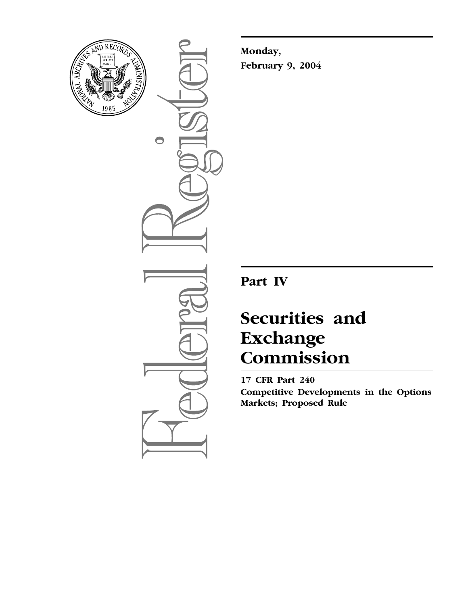

 $\bullet$ 

**Monday, February 9, 2004**

**Part IV**

# **Securities and Exchange Commission**

**17 CFR Part 240 Competitive Developments in the Options Markets; Proposed Rule**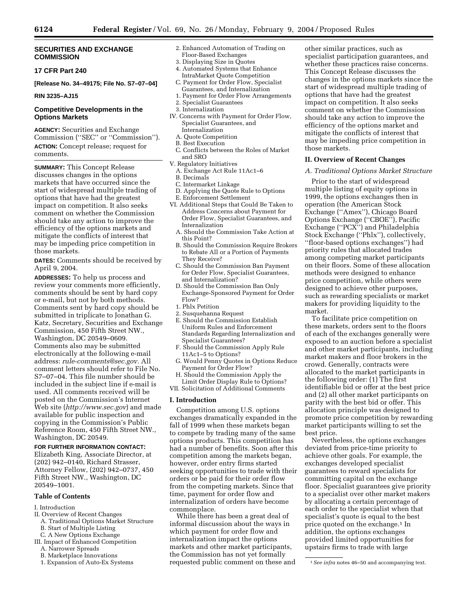## **SECURITIES AND EXCHANGE COMMISSION**

## **17 CFR Part 240**

**[Release No. 34–49175; File No. S7–07–04]** 

## **RIN 3235–AJ15**

## **Competitive Developments in the Options Markets**

**AGENCY:** Securities and Exchange Commission (''SEC'' or ''Commission''). **ACTION:** Concept release; request for comments.

**SUMMARY:** This Concept Release discusses changes in the options markets that have occurred since the start of widespread multiple trading of options that have had the greatest impact on competition. It also seeks comment on whether the Commission should take any action to improve the efficiency of the options markets and mitigate the conflicts of interest that may be impeding price competition in those markets.

**DATES:** Comments should be received by April 9, 2004.

**ADDRESSES:** To help us process and review your comments more efficiently, comments should be sent by hard copy or e-mail, but not by both methods. Comments sent by hard copy should be submitted in triplicate to Jonathan G. Katz, Secretary, Securities and Exchange Commission, 450 Fifth Street NW., Washington, DC 20549–0609. Comments also may be submitted electronically at the following e-mail address: *rule-comments@sec.gov.* All comment letters should refer to File No. S7–07–04. This file number should be included in the subject line if e-mail is used. All comments received will be posted on the Commission's Internet Web site (*http://www.sec.gov*) and made available for public inspection and copying in the Commission's Public Reference Room, 450 Fifth Street NW., Washington, DC 20549.

**FOR FURTHER INFORMATION CONTACT:** Elizabeth King, Associate Director, at (202) 942–0140, Richard Strasser, Attorney Fellow, (202) 942–0737, 450 Fifth Street NW., Washington, DC 20549–1001.

# **Table of Contents**

- I. Introduction
- II. Overview of Recent Changes
- A. Traditional Options Market Structure B. Start of Multiple Listing
- C. A New Options Exchange
- III. Impact of Enhanced Competition
- A. Narrower Spreads
- B. Marketplace Innovations
- 1. Expansion of Auto-Ex Systems
- 2. Enhanced Automation of Trading on Floor-Based Exchanges
- 3. Displaying Size in Quotes
- 4. Automated Systems that Enhance IntraMarket Quote Competition C. Payment for Order Flow, Specialist
- Guarantees, and Internalization 1. Payment for Order Flow Arrangements
- 2. Specialist Guarantees
- 3. Internalization
- IV. Concerns with Payment for Order Flow, Specialist Guarantees, and Internalization
	- A. Quote Competition
	- B. Best Execution
- C. Conflicts between the Roles of Market and SRO
- V. Regulatory Initiatives
	- A. Exchange Act Rule 11Ac1–6 B. Decimals
	-
	- C. Intermarket Linkage
	- D. Applying the Quote Rule to Options
	- E. Enforcement Settlement
- VI. Additional Steps that Could Be Taken to Address Concerns about Payment for Order Flow, Specialist Guarantees, and Internalization
	- A. Should the Commission Take Action at this Point?
	- B. Should the Commission Require Brokers to Rebate All or a Portion of Payments They Receive?
	- C. Should the Commission Ban Payment for Order Flow, Specialist Guarantees, and Internalization?
	- D. Should the Commission Ban Only Exchange-Sponsored Payment for Order Flow?
	- 1. Phlx Petition
	- 2. Susquehanna Request
	- E. Should the Commission Establish Uniform Rules and Enforcement Standards Regarding Internalization and Specialist Guarantees?
	- F. Should the Commission Apply Rule 11Ac1–5 to Options?
	- G. Would Penny Quotes in Options Reduce Payment for Order Flow?
- H. Should the Commission Apply the Limit Order Display Rule to Options?
- VII. Solicitation of Additional Comments

# **I. Introduction**

Competition among U.S. options exchanges dramatically expanded in the fall of 1999 when these markets began to compete by trading many of the same options products. This competition has had a number of benefits. Soon after this competition among the markets began, however, order entry firms started seeking opportunities to trade with their orders or be paid for their order flow from the competing markets. Since that time, payment for order flow and internalization of orders have become commonplace.

While there has been a great deal of informal discussion about the ways in which payment for order flow and internalization impact the options markets and other market participants, the Commission has not yet formally requested public comment on these and

other similar practices, such as specialist participation guarantees, and whether these practices raise concerns. This Concept Release discusses the changes in the options markets since the start of widespread multiple trading of options that have had the greatest impact on competition. It also seeks comment on whether the Commission should take any action to improve the efficiency of the options market and mitigate the conflicts of interest that may be impeding price competition in those markets.

#### **II. Overview of Recent Changes**

#### *A. Traditional Options Market Structure*

Prior to the start of widespread multiple listing of equity options in 1999, the options exchanges then in operation (the American Stock Exchange (''Amex''), Chicago Board Options Exchange (''CBOE''), Pacific Exchange (''PCX'') and Philadelphia Stock Exchange (''Phlx''), collectively, ''floor-based options exchanges'') had priority rules that allocated trades among competing market participants on their floors. Some of these allocation methods were designed to enhance price competition, while others were designed to achieve other purposes, such as rewarding specialists or market makers for providing liquidity to the market.

To facilitate price competition on these markets, orders sent to the floors of each of the exchanges generally were exposed to an auction before a specialist and other market participants, including market makers and floor brokers in the crowd. Generally, contracts were allocated to the market participants in the following order: (1) The first identifiable bid or offer at the best price and (2) all other market participants on parity with the best bid or offer. This allocation principle was designed to promote price competition by rewarding market participants willing to set the best price.

Nevertheless, the options exchanges deviated from price-time priority to achieve other goals. For example, the exchanges developed specialist guarantees to reward specialists for committing capital on the exchange floor. Specialist guarantees give priority to a specialist over other market makers by allocating a certain percentage of each order to the specialist when that specialist's quote is equal to the best price quoted on the exchange.<sup>1</sup> In addition, the options exchanges provided limited opportunities for upstairs firms to trade with large

<sup>1</sup>*See infra* notes 46–50 and accompanying text.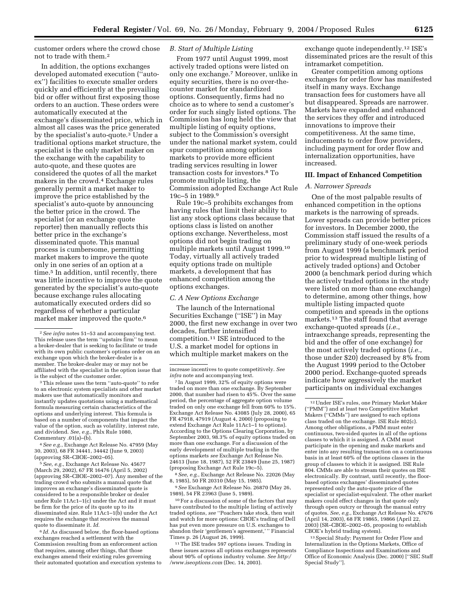customer orders where the crowd chose not to trade with them.2

In addition, the options exchanges developed automated execution (''autoex'') facilities to execute smaller orders quickly and efficiently at the prevailing bid or offer without first exposing those orders to an auction. These orders were automatically executed at the exchange's disseminated price, which in almost all cases was the price generated by the specialist's auto-quote.3 Under a traditional options market structure, the specialist is the only market maker on the exchange with the capability to auto-quote, and these quotes are considered the quotes of all the market makers in the crowd.4 Exchange rules generally permit a market maker to improve the price established by the specialist's auto-quote by announcing the better price in the crowd. The specialist (or an exchange quote reporter) then manually reflects this better price in the exchange's disseminated quote. This manual process is cumbersome, permitting market makers to improve the quote only in one series of an option at a time.5 In addition, until recently, there was little incentive to improve the quote generated by the specialist's auto-quote because exchange rules allocating automatically executed orders did so regardless of whether a particular market maker improved the quote.<sup>6</sup>

3This release uses the term ''auto-quote'' to refer to an electronic system specialists and other market makers use that automatically monitors and instantly updates quotations using a mathematical formula measuring certain characteristics of the options and underlying interest. This formula is based on a number of components that impact the value of the option, such as volatility, interest rate, and dividend. *See, e.g.*, Phlx Rule 1080, Commentary .01(a)–(b).

4*See e.g.*, Exchange Act Release No. 47959 (May 30, 2003), 68 FR 34441, 34442 (June 9, 2003) (approving SR–CBOE–2002–05).

5*See, e.g.*, Exchange Act Release No. 45677 (March 29, 2002), 67 FR 16476 (April 5, 2002) (approving SR–CBOE–2002–07). Any member of the trading crowd who submits a manual quote that improves an exchange's disseminated quote is considered to be a responsible broker or dealer under Rule 11Ac1–1(c) under the Act and it must be firm for the price of its quote up to its disseminated size. Rule 11Ac1–1(b) under the Act requires the exchange that receives the manual quote to disseminate it. *Id.*

<sup>6</sup> *Id.* As discussed below, the floor-based options exchanges reached a settlement with the Commission resulting from an enforcement action that requires, among other things, that those exchanges amend their existing rules governing their automated quotation and execution systems to

# *B. Start of Multiple Listing*

From 1977 until August 1999, most actively traded options were listed on only one exchange.7 Moreover, unlike in equity securities, there is no over-thecounter market for standardized options. Consequently, firms had no choice as to where to send a customer's order for such singly listed options. The Commission has long held the view that multiple listing of equity options, subject to the Commission's oversight under the national market system, could spur competition among options markets to provide more efficient trading services resulting in lower transaction costs for investors.8 To promote multiple listing, the Commission adopted Exchange Act Rule 19c–5 in 1989.9

Rule 19c–5 prohibits exchanges from having rules that limit their ability to list any stock options class because that options class is listed on another options exchange. Nevertheless, most options did not begin trading on multiple markets until August 1999.10 Today, virtually all actively traded equity options trade on multiple markets, a development that has enhanced competition among the options exchanges.

#### *C. A New Options Exchange*

The launch of the International Securities Exchange (''ISE'') in May 2000, the first new exchange in over two decades, further intensified competition.11 ISE introduced to the U.S. a market model for options in which multiple market makers on the

8*See, e.g.*, Exchange Act Release No. 22026 (May 8, 1985), 50 FR 20310 (May 15, 1985).

9*See* Exchange Act Release No. 26870 (May 26, 1989), 54 FR 23963 (June 5, 1989).

10For a discussion of some of the factors that may have contributed to the multiple listing of actively traded options, *see* ''Poachers take stock, then wait and watch for more options: CBOE's trading of Dell has put even more pressure on U.S. exchanges to abandon their 'gentlemen's agreement,' '' Financial Times p. 26 (August 26, 1999).

11The ISE trades 597 options issues. Trading in these issues across all options exchanges represents about 90% of options industry volume. *See http:/ /www.iseoptions.com* (Dec. 14, 2003).

exchange quote independently.12 ISE's disseminated prices are the result of this intramarket competition.

Greater competition among options exchanges for order flow has manifested itself in many ways. Exchange transaction fees for customers have all but disappeared. Spreads are narrower. Markets have expanded and enhanced the services they offer and introduced innovations to improve their competitiveness. At the same time, inducements to order flow providers, including payment for order flow and internalization opportunities, have increased.

## **III. Impact of Enhanced Competition**

#### *A. Narrower Spreads*

One of the most palpable results of enhanced competition in the options markets is the narrowing of spreads. Lower spreads can provide better prices for investors. In December 2000, the Commission staff issued the results of a preliminary study of one-week periods from August 1999 (a benchmark period prior to widespread multiple listing of actively traded options) and October 2000 (a benchmark period during which the actively traded options in the study were listed on more than one exchange) to determine, among other things, how multiple listing impacted quote competition and spreads in the options markets.13 The staff found that average exchange-quoted spreads (*i.e.*, intraexchange spreads, representing the bid and the offer of one exchange) for the most actively traded options (*i.e.*, those under \$20) decreased by 8% from the August 1999 period to the October 2000 period. Exchange-quoted spreads indicate how aggressively the market participants on individual exchanges

13Special Study: Payment for Order Flow and Internalization in the Options Markets, Office of Compliance Inspections and Examinations and Office of Economic Analysis (Dec. 2000) [''SEC Staff Special Study''].

<sup>2</sup>*See infra* notes 51–53 and accompanying text. This release uses the term ''upstairs firm'' to mean a broker-dealer that is seeking to facilitate or trade with its own public customer's options order on an exchange upon which the broker-dealer is a member. The broker-dealer may or may not be affiliated with the specialist in the option issue that is the subject of the customer order.

increase incentives to quote competitively. *See infra* note and accompanying text.

<sup>7</sup> In August 1999, 32% of equity options were traded on more than one exchange. By September 2000, that number had risen to 45%. Over the same period, the percentage of aggregate option volume traded on only one exchange fell from 60% to 15%. Exchange Act Release No. 43085 (July 28, 2000), 65 FR 47918, 47919 (August 4, 2000) (proposing to extend Exchange Act Rule 11Ac1–1 to options). According to the Options Clearing Corporation, by September 2003, 98.3% of equity options traded on more than one exchange. For a discussion of the early development of multiple trading in the options markets *see* Exchange Act Release No. 24613 (June 18, 1987), 52 FR 23849 (June 25, 1987) (proposing Exchange Act Rule 19c–5).

<sup>12</sup>Under ISE's rules, one Primary Market Maker (''PMM'') and at least two Competitive Market Makers (''CMMs'') are assigned to each options class traded on the exchange. ISE Rule 802(c). Among other obligations, a PMM must enter continuous, two-sided quotes in all of the options classes to which it is assigned. A CMM must participate in the opening and make markets and enter into any resulting transaction on a continuous basis in at least 60% of the options classes in the group of classes to which it is assigned. ISE Rule 804. CMMs are able to stream their quotes on ISE electronically. By contrast, until recently, the floorbased options exchanges' disseminated quotes represented only the auto-quote price of the specialist or specialist-equivalent. The other market makers could effect changes in that quote only through open outcry or through the manual entry of quotes. *See, e.g.*, Exchange Act Release No. 47676 (April 14, 2003), 68 FR 19865, 19866 (April 22, 2003) (SR–CBOE–2002–05, proposing to establish CBOE's hybrid trading system).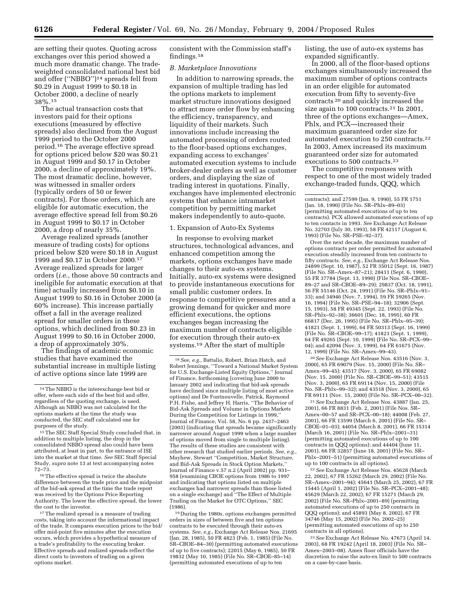are setting their quotes. Quoting across exchanges over this period showed a much more dramatic change. The tradeweighted consolidated national best bid and offer (''NBBO'')14 spreads fell from \$0.29 in August 1999 to \$0.18 in October 2000, a decline of nearly 38%.15

The actual transaction costs that investors paid for their options executions (measured by effective spreads) also declined from the August 1999 period to the October 2000 period.16 The average effective spread for options priced below \$20 was \$0.21 in August 1999 and \$0.17 in October 2000, a decline of approximately 19%. The most dramatic decline, however, was witnessed in smaller orders (typically orders of 50 or fewer contracts). For those orders, which are eligible for automatic execution, the average effective spread fell from \$0.26 in August 1999 to \$0.17 in October 2000, a drop of nearly 35%.

Average realized spreads (another measure of trading costs) for options priced below \$20 were \$0.18 in August 1999 and \$0.17 in October 2000.17 Average realized spreads for larger orders (*i.e.*, those above 50 contracts and ineligible for automatic execution at that time) actually increased from \$0.10 in August 1999 to \$0.16 in October 2000 (a 60% increase). This increase partially offset a fall in the average realized spread for smaller orders in these options, which declined from \$0.23 in August 1999 to \$0.16 in October 2000, a drop of approximately 30%.

The findings of academic economic studies that have examined the substantial increase in multiple listing of active options since late 1999 are

consistent with the Commission staff's findings.18

## *B. Marketplace Innovations*

In addition to narrowing spreads, the expansion of multiple trading has led the options markets to implement market structure innovations designed to attract more order flow by enhancing the efficiency, transparency, and liquidity of their markets. Such innovations include increasing the automated processing of orders routed to the floor-based options exchanges, expanding access to exchanges' automated execution systems to include broker-dealer orders as well as customer orders, and displaying the size of trading interest in quotations. Finally, exchanges have implemented electronic systems that enhance intramarket competition by permitting market makers independently to auto-quote.

## 1. Expansion of Auto-Ex Systems

In response to evolving market structures, technological advances, and enhanced competition among the markets, options exchanges have made changes to their auto-ex systems. Initially, auto-ex systems were designed to provide instantaneous executions for small public customer orders. In response to competitive pressures and a growing demand for quicker and more efficient executions, the options exchanges began increasing the maximum number of contracts eligible for execution through their auto-ex systems.19 After the start of multiple

19 During the 1980s, options exchanges permitted orders in sizes of between five and ten options contracts to be executed through their auto-ex systems. *See, e.g.*, Exchange Act Release Nos. 21695 (Jan. 28, 1985), 50 FR 4823 (Feb. 1, 1985) (File No. SR–CBOE–84–30) (permitting automated executions of up to five contracts); 22015 (May 6, 1985), 50 FR 19832 (May 10, 1985) (File No. SR–CBOE–85–14) (permitting automated executions of up to ten

listing, the use of auto-ex systems has expanded significantly.

In 2000, all of the floor-based options exchanges simultaneously increased the maximum number of options contracts in an order eligible for automated execution from fifty to seventy-five contracts 20 and quickly increased the size again to 100 contracts.<sup>21</sup> In 2001, three of the options exchanges—Amex, Phlx, and PCX—increased their maximum guaranteed order size for automated execution to 250 contracts.22 In 2003, Amex increased its maximum guaranteed order size for automated executions to 500 contracts.23

The competitive responses with respect to one of the most widely traded exchange-traded funds, QQQ, which

Over the next decade, the maximum number of options contracts per order permitted for automated execution steadily increased from ten contracts to fifty contracts. *See, e.g.*, Exchange Act Release Nos. 24899 (Sept. 10, 1987), 52 FR 35012 (Sept. 16, 1987) (File No. SR–Amex–87–21); 28411 (Sept. 6, 1990), 55 FR 37784 (Sept. 13, 1990) (File Nos. SR–CBOE– 89–27 and SR–CBOE–89–29); 29837 (Oct. 18, 1991), 56 FR 55146 (Oct. 24, 1991) (File No. SR–Phlx–91– 33); and 34946 (Nov. 7, 1994), 59 FR 59265 (Nov. 16, 1994) (File No. SR–PSE–94–18); 32906 (Sept. 15, 1993), 58 FR 49345 (Sept. 22, 1993) (File No. SR–Phlx–92–38); 36601 (Dec. 18, 1995), 60 FR 66817 (Dec. 26, 1995) (File No. SR–Phlx–95–39); 41821 (Sept. 1, 1999), 64 FR 50313 (Sept. 16, 1999) (File No. SR–CBOE–99–17); 41823 (Sept. 1, 1999), 64 FR 49265 (Sept. 10, 1999) (File No. SR–PCX–99– 04); and 42094 (Nov. 3, 1999), 64 FR 61675 (Nov. 12, 1999) (File No. SR–Amex–99–43).

20*See* Exchange Act Release Nos. 43516 (Nov. 3, 2000), 65 FR 69079 (Nov. 15, 2000) (File No. SR– Amex–99–45); 43517 (Nov. 3, 2000), 65 FR 69082 (Nov. 15, 2000) (File No. SR–CBOE–99–51); 43515 (Nov. 3, 2000), 65 FR 69114 (Nov. 15, 2000) (File No. SR–Phlx–99–32); and 43518 (Nov. 3, 2000), 65 FR 69111 (Nov. 15, 2000) (File No. SR–PCX–00–32).

21*See* Exchange Act Release Nos. 43887 (Jan. 25, 2001), 66 FR 8831 (Feb. 2, 2001) (File Nos. SR– Amex–00–57 and SR–PCX–00–18); 44008 (Feb. 27, 2001), 66 FR 13599 (March 6, 2001) (File No. SR– CBOE–01–03); 44054 (March 8, 2001), 66 FR 15314 (March 16, 2001) (File No. SR–Phlx–2001–31) (permitting automated executions of up to 100 contracts in QQQ options); and 44404 (June 11, 2001), 66 FR 32857 (June 18, 2001) (File No. SR– Phlx–2001–51) (permitting automated executions of up to 100 contracts in all options).

22*See* Exchange Act Release Nos. 45628 (March 22, 2002), 67 FR 15262 (March 29, 2002) (File No. SR–Amex–2001–94); 45641 (March 25, 2002), 67 FR 15445 (April 1, 2002) (File No. SR–PCX–2001–48); 45629 (March 22, 2002), 67 FR 15271 (March 29, 2002) (File No. SR–Phlx–2001–89) (permitting automated executions of up to 250 contracts in QQQ options); and 45893 (May 8, 2002), 67 FR 34746 (May 15, 2002) (File No. 2002–25) (permitting automated executions of up to 250 contracts in all options).

23*See* Exchange Act Release No. 47673 (April 14, 2003), 68 FR 19242 (April 18, 2003) (File No. SR– Amex–2003–08). Amex floor officials have the discretion to raise the auto-ex limit to 500 contracts on a case-by-case basis.

<sup>14</sup>The NBBO is the interexchange best bid or offer, where each side of the best bid and offer, regardless of the quoting exchange, is used. Although an NBBO was not calculated for the options markets at the time the study was conducted, the SEC staff calculated one for purposes of the study.

<sup>15</sup>The SEC Staff Special Study concluded that, in addition to multiple listing, the drop in the consolidated NBBO spread also could have been attributed, at least in part, to the entrance of ISE into the market at that time. *See* SEC Staff Special Study, *supra* note 13 at text accompanying notes 72–73.

 $^{\rm 16}\!$  The effective spread is twice the absolute difference between the trade price and the midpoint of the bid-ask spread at the time the trade report was received by the Options Price Reporting Authority. The lower the effective spread, the lower the cost to the investor.

<sup>&</sup>lt;sup>17</sup>The realized spread is a measure of trading costs, taking into account the informational impact of the trade. It compares execution prices to the bid/ offer mid-point five minutes after the execution occurs, which provides a hypothetical measure of a trade's profitability to the executing broker. Effective spreads and realized spreads reflect the direct costs to investors of trading on a given options market.

<sup>18</sup>*See, e.g.*, Battalio, Robert, Brian Hatch, and Robert Jennings, ''Toward a National Market System for U.S. Exchange-Listed Equity Options,'' Journal of Finance, forthcoming (covering June 2000 to January 2002 and indicating that bid-ask spreads have declined since multiple listing of most active options) and De Fontnouvelle, Patrick, Raymond P.H. Fishe, and Jeffrey H. Harris, ''The Behavior of Bid-Ask Spreads and Volume in Options Markets During the Competition for Listings in 1999,'' Journal of Finance, Vol. 58, No. 6 pp. 2437–2463 (2003) (indicating that spreads became significantly narrower around August 1999 when a large number of options moved from single to multiple listing). The results of these studies are consistent with other research that studied earlier periods. *See, e.g.*, Mayhew, Stewart ''Competition, Market Structure, and Bid-Ask Spreads in Stock Option Markets,'' Journal of Finance v.57 n.2 (April 2002) pp. 931– 958 (examining CBOE options from 1986 to 1997 and indicating that options listed on multiple exchanges had narrower spreads than those listed on a single exchange) and ''The Effect of Multiple Trading on the Market for OTC Options,'' SEC (1986).

contracts); and 27599 (Jan. 9, 1990), 55 FR 1751 (Jan. 18, 1990) (File No. SR–Phlx–89–03) (permitting automated executions of up to ten contracts). PCX allowed automated executions of up to ten contacts in 1993. *See* Exchange Act Release No. 32703 (July 30, 1993), 58 FR 42117 (August 6, 1993) (File No. SR–PSE–92–37).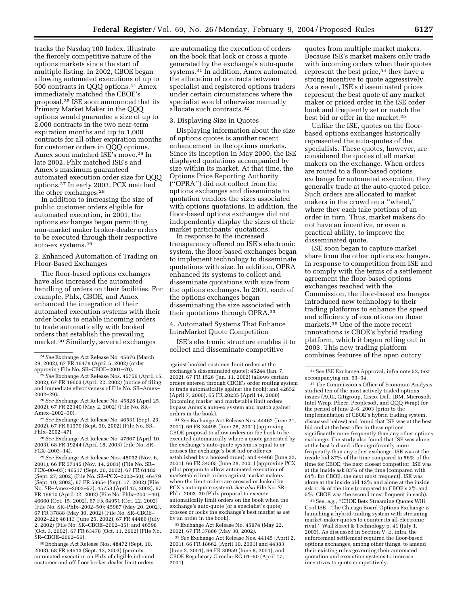tracks the Nasdaq 100 Index, illustrate the fiercely competitive nature of the options markets since the start of multiple listing. In 2002, CBOE began allowing automated executions of up to 500 contracts in QQQ options.24 Amex immediately matched the CBOE's proposal.25 ISE soon announced that its Primary Market Maker in the QQQ options would guarantee a size of up to 2,000 contracts in the two near-term expiration months and up to 1,000 contracts for all other expiration months for customer orders in QQQ options. Amex soon matched ISE's move.26 In late 2002, Phlx matched ISE's and Amex's maximum guaranteed automated execution order size for QQQ options.27 In early 2003, PCX matched the other exchanges.28

In addition to increasing the size of public customer orders eligible for automated execution, in 2001, the options exchanges began permitting non-market maker broker-dealer orders to be executed through their respective auto-ex systems.29

2. Enhanced Automation of Trading on Floor-Based Exchanges

The floor-based options exchanges have also increased the automated handling of orders on their facilities. For example, Phlx, CBOE, and Amex enhanced the integration of their automated execution systems with their order books to enable incoming orders to trade automatically with booked orders that establish the prevailing market.30 Similarly, several exchanges

26*See* Exchange Act Release No. 45828 (April 25, 2002), 67 FR 22140 (May 2, 2002) (File No. SR– Amex–2002–30).

27*See* Exchange Act Release No. 46531 (Sept. 23, 2002), 67 FR 61370 (Sept. 30, 2002) (File No. SR– Phlx–2002–47).

28*See* Exchange Act Release No. 47667 (April 10, 2003), 68 FR 19244 (April 18, 2003) (File No. SR– PCX–2003–14).

29*See* Exchange Act Release Nos. 45032 (Nov. 6, 2001), 66 FR 57145 (Nov. 14, 2001) (File No. SR– PCX–00–05); 46517 (Sept. 20, 2002), 67 FR 61182 (Sept. 27, 2002) (File No. SR–PCX–2002–50); 46479 (Sept. 10, 2002), 67 FR 58654 (Sept. 17, 2002) (File No. SR–Amex–2002–57); 45758 (April 15, 2002), 67 FR 19610 (April 22, 2002) (File No. Phlx–2001–40); 46660 (Oct. 15, 2002), 67 FR 64951 (Oct. 22, 2002) (File No. SR–Phlx–2002–50); 45967 (May 20, 2002), 67 FR 37888 (May 30, 2002) (File No. SR–CBOE– 2002–22); 46113 (June 25, 2002), 67 FR 44486 (July 2, 2002) (File No. SR–CBOE–2002–35); and 46598 (Oct. 3, 2002), 67 FR 63478 (Oct. 11, 2002) (File No. SR–CBOE–2002–56).

30Exchange Act Release Nos. 48472 (Sept. 10, 2003), 68 FR 54513 (Sept. 13, 2003) (permits automated execution on Phlx of eligible inbound customer and off-floor broker-dealer limit orders

are automating the execution of orders on the book that lock or cross a quote generated by the exchange's auto-quote systems.31 In addition, Amex automated the allocation of contracts between specialist and registered options traders under certain circumstances where the specialist would otherwise manually allocate such contracts.32

## 3. Displaying Size in Quotes

Displaying information about the size of options quotes is another recent enhancement in the options markets. Since its inception in May 2000, the ISE displayed quotations accompanied by size within its market. At that time, the Options Price Reporting Authority (''OPRA'') did not collect from the options exchanges and disseminate to quotation vendors the sizes associated with options quotations. In addition, the floor-based options exchanges did not independently display the sizes of their market participants' quotations.

In response to the increased transparency offered on ISE's electronic system, the floor-based exchanges began to implement technology to disseminate quotations with size. In addition, OPRA enhanced its systems to collect and disseminate quotations with size from the options exchanges. In 2001, each of the options exchanges began disseminating the size associated with their quotations through OPRA.33

## 4. Automated Systems That Enhance IntraMarket Quote Competition

ISE's electronic structure enables it to collect and disseminate competitive

31*See* Exchange Act Release Nos. 44462 (June 21, 2001), 66 FR 34495 (June 28, 2001) (approving CBOE proposal to allow orders on the book to be executed automatically where a quote generated by the exchange's auto-quote system is equal to or crosses the exchange's best bid or offer as established by a booked order); and 44468 (June 22, 2001), 66 FR 34505 (June 28, 2001) (approving PCX pilot program to allow automated execution of marketable limit orders against market makers when the limit orders are crossed or locked by PCX's auto-quote system). *See also* File No. SR– Phlx–2003–30 (Phlx proposal to execute automatically limit orders on the book when the exchange's auto-quote (or a specialist's quote) crosses or locks the exchange's best market as set by an order in the book).

32Exchange Act Release No. 45974 (May 22, 2002), 67 FR 37886 (May 30, 2002).

33*See* Exchange Act Release Nos. 44145 (April 2, 2001), 66 FR 18662 (April 10, 2001) and 44383 (June 2, 2001), 66 FR 30959 (June 8, 2001); and CBOE Regulatory Circular RG 01–50 (April 17, 2001).

quotes from multiple market makers. Because ISE's market makers only trade with incoming orders when their quotes represent the best price,34 they have a strong incentive to quote aggressively. As a result, ISE's disseminated prices represent the best quote of any market maker or priced order in the ISE order book and frequently set or match the best bid or offer in the market.35

Unlike the ISE, quotes on the floorbased options exchanges historically represented the auto-quotes of the specialists. These quotes, however, are considered the quotes of all market makers on the exchange. When orders are routed to a floor-based options exchange for automated execution, they generally trade at the auto-quoted price. Such orders are allocated to market makers in the crowd on a ''wheel,'' where they each take portions of an order in turn. Thus, market makers do not have an incentive, or even a practical ability, to improve the disseminated quote.

ISE soon began to capture market share from the other options exchanges. In response to competition from ISE and to comply with the terms of a settlement agreement the floor-based options exchanges reached with the Commission, the floor-based exchanges introduced new technology to their trading platforms to enhance the speed and efficiency of executions on those markets.36 One of the more recent innovations is CBOE's hybrid trading platform, which it began rolling out in 2003. This new trading platform combines features of the open outcry

36See, *e.g.*, ''CBOE Bets Streaming Quotes Will Cool ISE—The Chicago Board Options Exchange is launching a hybrid-trading system with streaming market-maker quotes to counter its all-electronic rival,'' Wall Street & Technology p. 41 (July 1, 2003). As discussed in Section V. E. infra, the enforcement settlement required the floor-based options exchanges, among other things, to amend their existing rules governing their automated quotation and execution systems to increase incentives to quote competitively.

<sup>24</sup>*See* Exchange Act Release No. 45676 (March 29, 2002), 67 FR 16478 (April 5, 2002) (order approving File No. SR–CBOE–2001–70).

<sup>25</sup>*See* Exchange Act Release Nos. 45756 (April 15, 2002), 67 FR 19603 (April 22, 2002) (notice of filing and immediate effectiveness of File No. SR–Amex– 2002–29).

against booked customer limit orders at the exchange's disseminated quote); 45244 (Jan. 7, 2002), 67 FR 1526 (Jan. 11, 2002) (allows certain orders entered through CBOE's order routing system to trade automatically against the book); and  $42652$ (April 7, 2000), 65 FR 20235 (April 14, 2000) (incoming market and marketable limit orders bypass Amex's auto-ex system and match against orders in the book).

 $^{\rm 34}$  See ISE Exchange Approval, infra note 52, text accompanying nn. 93–94.

<sup>35</sup>The Commission's Office of Economic Analysis studied ten of the most actively traded options issues (AOL, Citigroup, Cisco, Dell, IBM, Microsoft, Intel Wrap, Pfizer, Peoplesoft, and QQQ Wrap) for the period of June 2–6, 2003 (prior to the implementation of CBOE's hybrid trading system, discussed below) and found that ISE was at the best bid and at the best offer in these options significantly more frequently than any other options exchange. The study also found that ISE was alone at the best bid and offer significantly more frequently than any other exchange. ISE was at the inside bid 87% of the time compared to 56% of the time for CBOE, the next closest competitor. ISE was at the inside ask 83% of the time (compared with 61% for CBOE, the next most frequent). ISE was alone at the inside bid 12% and alone at the inside ask 11% of the time (compared to CBOE's 3% and 5%, CBOE was the second most frequent in each).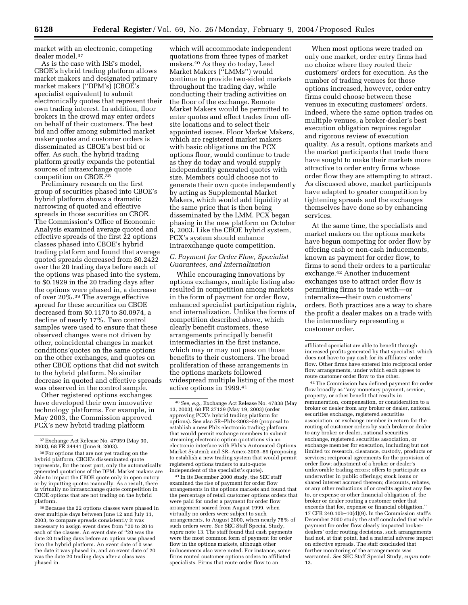market with an electronic, competing dealer model.37

As is the case with ISE's model, CBOE's hybrid trading platform allows market makers and designated primary market makers (''DPM's) (CBOE's specialist equivalent) to submit electronically quotes that represent their own trading interest. In addition, floor brokers in the crowd may enter orders on behalf of their customers. The best bid and offer among submitted market maker quotes and customer orders is disseminated as CBOE's best bid or offer. As such, the hybrid trading platform greatly expands the potential sources of intraexchange quote competition on CBOE.38

Preliminary research on the first group of securities phased into CBOE's hybrid platform shows a dramatic narrowing of quoted and effective spreads in those securities on CBOE. The Commission's Office of Economic Analysis examined average quoted and effective spreads of the first 22 options classes phased into CBOE's hybrid trading platform and found that average quoted spreads decreased from \$0.2422 over the 20 trading days before each of the options was phased into the system, to \$0.1929 in the 20 trading days after the options were phased in, a decrease of over 20%.39 The average effective spread for these securities on CBOE decreased from \$0.1170 to \$0.0974, a decline of nearly 17%. Two control samples were used to ensure that these observed changes were not driven by other, coincidental changes in market conditions'quotes on the same options on the other exchanges, and quotes on other CBOE options that did not switch to the hybrid platform. No similar decrease in quoted and effective spreads was observed in the control sample.

Other registered options exchanges have developed their own innovative technology platforms. For example, in May 2003, the Commission approved PCX's new hybrid trading platform

39Because the 22 options classes were phased in over multiple days between June 12 and July 11, 2003, to compare spreads consistently it was necessary to assign event dates from ''20 to 20 to each of the classes. An event date of ''20 was the date 20 trading days before an option was phased into the hybrid platform. An event date of 0 was the date it was phased in, and an event date of 20 was the date 20 trading days after a class was phased in.

which will accommodate independent quotations from three types of market makers.40 As they do today, Lead Market Makers (''LMMs'') would continue to provide two-sided markets throughout the trading day, while conducting their trading activities on the floor of the exchange. Remote Market Makers would be permitted to enter quotes and effect trades from offsite locations and to select their appointed issues. Floor Market Makers, which are registered market makers with basic obligations on the PCX options floor, would continue to trade as they do today and would supply independently generated quotes with size. Members could choose not to generate their own quote independently by acting as Supplemental Market Makers, which would add liquidity at the same price that is then being disseminated by the LMM. PCX began phasing in the new platform on October 6, 2003. Like the CBOE hybrid system, PCX's system should enhance intraexchange quote competition.

## *C. Payment for Order Flow, Specialist Guarantees, and Internalization*

While encouraging innovations by options exchanges, multiple listing also resulted in competition among markets in the form of payment for order flow, enhanced specialist participation rights, and internalization. Unlike the forms of competition described above, which clearly benefit customers, these arrangements principally benefit intermediaries in the first instance, which may or may not pass on those benefits to their customers. The broad proliferation of these arrangements in the options markets followed widespread multiple listing of the most active options in 1999.41

41 In its December 2000 study, the SEC staff examined the rise of payment for order flow arrangements in the options markets and found that the percentage of retail customer options orders that were paid for under a payment for order flow arrangement soared from August 1999, when virtually no orders were subject to such arrangements, to August 2000, when nearly 78% of such orders were. *See* SEC Staff Special Study, *supra* note 13. The staff found that cash payments were the most common form of payment for order flow in the options markets, although other inducements also were noted. For instance, some firms routed customer options orders to affiliated specialists. Firms that route order flow to an

When most options were traded on only one market, order entry firms had no choice where they routed their customers' orders for execution. As the number of trading venues for those options increased, however, order entry firms could choose between these venues in executing customers' orders. Indeed, where the same option trades on multiple venues, a broker-dealer's best execution obligation requires regular and rigorous review of execution quality. As a result, options markets and the market participants that trade there have sought to make their markets more attractive to order entry firms whose order flow they are attempting to attract. As discussed above, market participants have adapted to greater competition by tightening spreads and the exchanges themselves have done so by enhancing services.

At the same time, the specialists and market makers on the options markets have begun competing for order flow by offering cash or non-cash inducements, known as payment for order flow, to firms to send their orders to a particular exchange.42 Another inducement exchanges use to attract order flow is permitting firms to trade with—or internalize—their own customers' orders. Both practices are a way to share the profit a dealer makes on a trade with the intermediary representing a customer order.

affiliated specialist are able to benefit through increased profits generated by that specialist, which does not have to pay cash for its affiliates' order flow. Other firms have entered into reciprocal order flow arrangements, under which each agrees to route customer order flow to the other.

42The Commission has defined payment for order flow broadly as ''any monetary payment, service, property, or other benefit that results in remuneration, compensation, or consideration to a broker or dealer from any broker or dealer, national securities exchange, registered securities association, or exchange member in return for the routing of customer orders by such broker or dealer to any broker or dealer, national securities exchange, registered securities association, or exchange member for execution, including but not limited to: research, clearance, custody, products or services; reciprocal agreements for the provision of order flow; adjustment of a broker or dealer's unfavorable trading errors; offers to participate as underwriter in public offerings; stock loans or shared interest accrued thereon; discounts, rebates, or any other reductions of or credits against any fee to, or expense or other financial obligation of, the broker or dealer routing a customer order that exceeds that fee, expense or financial obligation.'' 17 CFR 240.10b-10 $(d)(9)$ . In the Commission staff's December 2000 study the staff concluded that while payment for order flow clearly impacted brokerdealers' order routing decisions, such arrangements had not, at that point, had a material adverse impact on effective spreads. The staff concluded that further monitoring of the arrangements was warranted. *See* SEC Staff Special Study, *supra* note 13.

<sup>37</sup>Exchange Act Release No. 47959 (May 30, 2003), 68 FR 34441 (June 9, 2003).

<sup>38</sup>For options that are not yet trading on the hybrid platform, CBOE's disseminated quote represents, for the most part, only the automatically generated quotations of the DPM. Market makers are able to impact the CBOE quote only in open outcry or by inputting quotes manually. As a result, there is virtually no intraexchange quote competition in CBOE options that are not trading on the hybrid platform.

<sup>40</sup>*See, e.g.*, Exchange Act Release No. 47838 (May 13, 2003), 68 FR 27129 (May 19, 2003) (order approving PCX's hybrid trading platform for options). See also SR–Phlx-2003–59 (proposal to establish a new Phlx electronic trading platform that would permit exchange members to submit streaming electronic option quotations via an electronic interface with Phlx's Automated Options Market System); and SR–Amex-2003–89 (proposing to establish a new trading system that would permit registered options traders to auto-quote independent of the specialist's quote).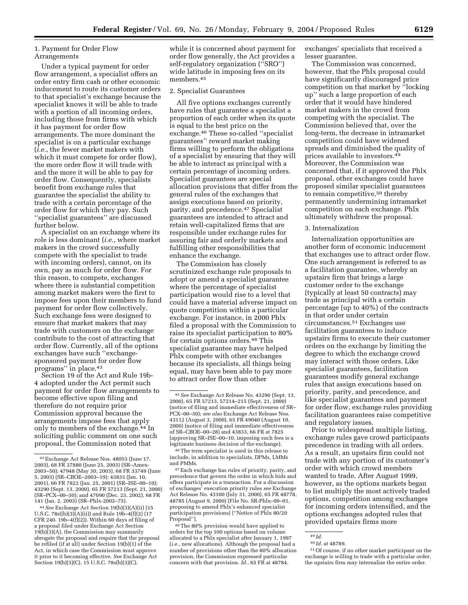# 1. Payment for Order Flow Arrangements

Under a typical payment for order flow arrangement, a specialist offers an order entry firm cash or other economic inducement to route its customer orders to that specialist's exchange because the specialist knows it will be able to trade with a portion of all incoming orders, including those from firms with which it has payment for order flow arrangements. The more dominant the specialist is on a particular exchange (*i.e.*, the fewer market makers with which it must compete for order flow), the more order flow it will trade with and the more it will be able to pay for order flow. Consequently, specialists benefit from exchange rules that guarantee the specialist the ability to trade with a certain percentage of the order flow for which they pay. Such ''specialist guarantees'' are discussed further below.

A specialist on an exchange where its role is less dominant (*i.e.*, where market makers in the crowd successfully compete with the specialist to trade with incoming orders), cannot, on its own, pay as much for order flow. For this reason, to compete, exchanges where there is substantial competition among market makers were the first to impose fees upon their members to fund payment for order flow collectively. Such exchange fees were designed to ensure that market makers that may trade with customers on the exchange contribute to the cost of attracting that order flow. Currently, all of the options exchanges have such ''exchangesponsored payment for order flow programs'' in place.43

Section 19 of the Act and Rule 19b-4 adopted under the Act permit such payment for order flow arrangements to become effective upon filing and therefore do not require prior Commission approval because the arrangements impose fees that apply only to members of the exchange.44 In soliciting public comment on one such proposal, the Commission noted that

44*See* Exchange Act Section 19(b)(3)(A)(ii) (15 U.S.C.  $78s([b](3)(A)(ii))$  and Rule 19b-4(f)(2) (17 CFR 240.  $19b-4(f)(2)$ ). Within 60 days of filing of a proposal filed under Exchange Act Section  $19(b)(3)(A)$ , the Commission may summarily abrogate the proposal and require that the proposal be refiled (if at all) under Section 19(b)(1) of the Act, in which case the Commission must approve it prior to it becoming effective. *See* Exchange Act Section 19(b)(3)(C), 15 U.S.C. 78s(b)(3)(C).

while it is concerned about payment for order flow generally, the Act provides a self-regulatory organization (''SRO'') wide latitude in imposing fees on its members.45

# 2. Specialist Guarantees

All five options exchanges currently have rules that guarantee a specialist a proportion of each order when its quote is equal to the best price on the exchange.46 These so-called ''specialist guarantees'' reward market making firms willing to perform the obligations of a specialist by ensuring that they will be able to interact as principal with a certain percentage of incoming orders. Specialist guarantees are special allocation provisions that differ from the general rules of the exchanges that assign executions based on priority, parity, and precedence.47 Specialist guarantees are intended to attract and retain well-capitalized firms that are responsible under exchange rules for assuring fair and orderly markets and fulfilling other responsibilities that enhance the exchange.

The Commission has closely scrutinized exchange rule proposals to adopt or amend a specialist guarantee where the percentage of specialist participation would rise to a level that could have a material adverse impact on quote competition within a particular exchange. For instance, in 2000 Phlx filed a proposal with the Commission to raise its specialist participation to 80% for certain options orders.48 This specialist guarantee may have helped Phlx compete with other exchanges because its specialists, all things being equal, may have been able to pay more to attract order flow than other

46The term specialist is used in this release to include, in addition to specialists, DPMs, LMMs and PMMs.

exchanges' specialists that received a lesser guarantee.

The Commission was concerned, however, that the Phlx proposal could have significantly discouraged price competition on that market by ''locking up'' such a large proportion of each order that it would have hindered market makers in the crowd from competing with the specialist. The Commission believed that, over the long-term, the decrease in intramarket competition could have widened spreads and diminished the quality of prices available to investors.49 Moreover, the Commission was concerned that, if it approved the Phlx proposal, other exchanges could have proposed similar specialist guarantees to remain competitive,50 thereby permanently undermining intramarket competition on each exchange. Phlx ultimately withdrew the proposal.

#### 3. Internalization

Internalization opportunities are another form of economic inducement that exchanges use to attract order flow. One such arrangement is referred to as a facilitation guarantee, whereby an upstairs firm that brings a large customer order to the exchange (typically at least 50 contracts) may trade as principal with a certain percentage (up to 40%) of the contracts in that order under certain circumstances.51 Exchanges use facilitation guarantees to induce upstairs firms to execute their customer orders on the exchange by limiting the degree to which the exchange crowd may interact with those orders. Like specialist guarantees, facilitation guarantees modify general exchange rules that assign executions based on priority, parity, and precedence, and like specialist guarantees and payment for order flow, exchange rules providing facilitation guarantees raise competitive and regulatory issues.

Prior to widespread multiple listing, exchange rules gave crowd participants precedence in trading with all orders. As a result, an upstairs firm could not trade with any portion of its customer's order with which crowd members wanted to trade. After August 1999, however, as the options markets began to list multiply the most actively traded options, competition among exchanges for incoming orders intensified, and the options exchanges adopted rules that provided upstairs firms more

<sup>43</sup>Exchange Act Release Nos. 48053 (June 17, 2003), 68 FR 37880 (June 25, 2003) (SR–Amex-2003–50); 47948 (May 30, 2003), 68 FR 33749 (June 5, 2003) (SR–CBOE–2003–19); 43833 (Jan. 10, 2001), 66 FR 7822 (Jan. 25, 2001) (SR–ISE–00–10); 43290 (Sept. 13, 2000), 65 FR 57213 (Sept. 21, 2000) (SR–PCX–00–30); and 47090 (Dec. 23, 2002), 68 FR 141 (Jan. 2, 2003) (SR–Phlx-2002–75).

<sup>45</sup>*See* Exchange Act Release No. 43290 (Sept. 13, 2000), 65 FR 57213, 57214–215 (Sept. 21, 2000) (notice of filing and immediate effectiveness of SR– PCX–00–30); *see also* Exchange Act Release Nos. 43112 (August 3, 2000), 65 FR 49040 (August 10, 2000) (notice of filing and immediate effectiveness of SR–CBOE–00–28) and 43833, 66 FR at 7825 (approving SR–ISE–00–10, imposing such fees is a legitimate business decision of the exchange).

<sup>47</sup>Each exchange has rules of priority, parity, and precedence that govern the order in which bids and offers participate in a transaction. For a discussion of exchanges' execution priority rules *see* Exchange Act Release No. 43100 (July 31, 2000), 65 FR 48778, 48785 (August 9, 2000) (File No. SR-Phlx–00–01, proposing to amend Phlx's enhanced specialist participation provisions) [''Notice of Phlx 80/20 Proposal''].

<sup>48</sup>The 80% provision would have applied to orders for the top 100 options based on volume allocated to a Phlx specialist after January 1, 1997 (*i.e.*, new allocations). Although the proposal had a number of provisions other than the 80% allocation provision, the Commission expressed particular concern with that provision.  $Id.$ , 65 FR at 48784.

<sup>49</sup> *Id.*

<sup>50</sup> *Id.* at 48789.

<sup>51</sup>Of course, if no other market participant on the exchange is willing to trade with a particular order, the upstairs firm may internalize the entire order.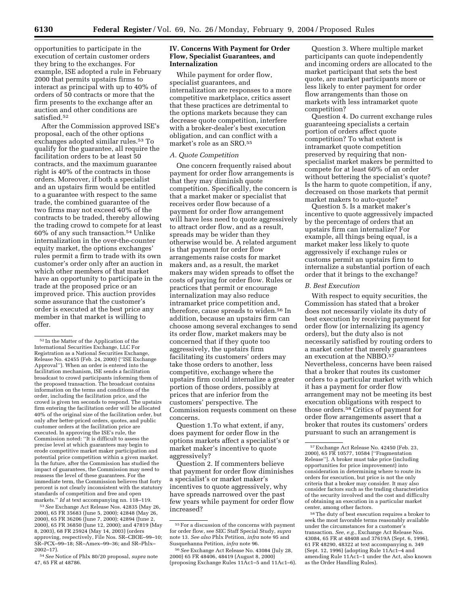opportunities to participate in the execution of certain customer orders they bring to the exchanges. For example, ISE adopted a rule in February 2000 that permits upstairs firms to interact as principal with up to 40% of orders of 50 contracts or more that the firm presents to the exchange after an auction and other conditions are satisfied.52

After the Commission approved ISE's proposal, each of the other options exchanges adopted similar rules.53 To qualify for the guarantee, all require the facilitation orders to be at least 50 contracts, and the maximum guarantee right is 40% of the contracts in those orders. Moreover, if both a specialist and an upstairs firm would be entitled to a guarantee with respect to the same trade, the combined guarantee of the two firms may not exceed 40% of the contracts to be traded, thereby allowing the trading crowd to compete for at least 60% of any such transaction.54 Unlike internalization in the over-the-counter equity market, the options exchanges' rules permit a firm to trade with its own customer's order only after an auction in which other members of that market have an opportunity to participate in the trade at the proposed price or an improved price. This auction provides some assurance that the customer's order is executed at the best price any member in that market is willing to offer.

53*See* Exchange Act Release Nos. 42835 (May 26, 2000), 65 FR 35683 (June 5, 2000); 42848 (May 26, 2000), 65 FR 36206 (June 7, 2000); 42894 (June 2, 2000), 65 FR 36850 (June 12, 2000); and 47819 (May 8, 2003), 68 FR 25924 (May 14, 2003) (orders approving, respectively, File Nos. SR–CBOE–99–10; SR–PCX–99–18; SR–Amex–99–36; and SR–Phlx– 2002–17).

## **IV. Concerns With Payment for Order Flow, Specialist Guarantees, and Internalization**

While payment for order flow, specialist guarantees, and internalization are responses to a more competitive marketplace, critics assert that these practices are detrimental to the options markets because they can decrease quote competition, interfere with a broker-dealer's best execution obligation, and can conflict with a market's role as an SRO.55

## *A. Quote Competition*

One concern frequently raised about payment for order flow arrangements is that they may diminish quote competition. Specifically, the concern is that a market maker or specialist that receives order flow because of a payment for order flow arrangement will have less need to quote aggressively to attract order flow, and as a result, spreads may be wider than they otherwise would be. A related argument is that payment for order flow arrangements raise costs for market makers and, as a result, the market makers may widen spreads to offset the costs of paying for order flow. Rules or practices that permit or encourage internalization may also reduce intramarket price competition and, therefore, cause spreads to widen.56 In addition, because an upstairs firm can choose among several exchanges to send its order flow, market makers may be concerned that if they quote too aggressively, the upstairs firm facilitating its customers' orders may take those orders to another, less competitive, exchange where the upstairs firm could internalize a greater portion of those orders, possibly at prices that are inferior from the customers' perspective. The Commission requests comment on these concerns.

Question 1.To what extent, if any, does payment for order flow in the options markets affect a specialist's or market maker's incentive to quote aggressively?

Question 2. If commenters believe that payment for order flow diminishes a specialist's or market maker's incentives to quote aggressively, why have spreads narrowed over the past few years while payment for order flow increased?

Question 3. Where multiple market participants can quote independently and incoming orders are allocated to the market participant that sets the best quote, are market participants more or less likely to enter payment for order flow arrangements than those on markets with less intramarket quote competition?

Question 4. Do current exchange rules guaranteeing specialists a certain portion of orders affect quote competition? To what extent is intramarket quote competition preserved by requiring that nonspecialist market makers be permitted to compete for at least 60% of an order without bettering the specialist's quote? Is the harm to quote competition, if any, decreased on those markets that permit market makers to auto-quote?

Question 5. Is a market maker's incentive to quote aggressively impacted by the percentage of orders that an upstairs firm can internalize? For example, all things being equal, is a market maker less likely to quote aggressively if exchange rules or customs permit an upstairs firm to internalize a substantial portion of each order that it brings to the exchange?

## *B. Best Execution*

With respect to equity securities, the Commission has stated that a broker does not necessarily violate its duty of best execution by receiving payment for order flow (or internalizing its agency orders), but the duty also is not necessarily satisfied by routing orders to a market center that merely guarantees an execution at the NBBO.57 Nevertheless, concerns have been raised that a broker that routes its customer orders to a particular market with which it has a payment for order flow arrangement may not be meeting its best execution obligations with respect to those orders.58 Critics of payment for order flow arrangements assert that a broker that routes its customers' orders pursuant to such an arrangement is

58The duty of best execution requires a broker to seek the most favorable terms reasonably available under the circumstances for a customer's transaction. *See, e.g.*, Exchange Act Release Nos. 43084, 65 FR at 48408 and 37619A (Sept. 6, 1996), 61 FR 48290, 48322 at text accompanying n. 349 (Sept. 12, 1996) (adopting Rule 11Ac1–4 and amending Rule 11Ac1–1 under the Act, also known as the Order Handling Rules).

<sup>52</sup> In the Matter of the Application of the International Securities Exchange, LLC For Registration as a National Securities Exchange, Release No. 42455 (Feb. 24, 2000) (''ISE Exchange Approval''). When an order is entered into the facilitation mechanism, ISE sends a facilitation broadcast to crowd participants informing them of the proposed transaction. The broadcast contains information on the terms and conditions of the order, including the facilitation price, and the crowd is given ten seconds to respond. The upstairs firm entering the facilitation order will be allocated 40% of the original size of the facilitation order, but only after better-priced orders, quotes, and public customer orders at the facilitation price are executed. In approving the ISE's rule, the Commission noted: ''It is difficult to assess the precise level at which guarantees may begin to erode competitive market maker participation and potential price competition within a given market. In the future, after the Commission has studied the impact of guarantees, the Commission may need to reassess the level of these guarantees. For the immediate term, the Commission believes that forty percent is not clearly inconsistent with the statutory standards of competition and free and open markets.'' *Id* at text accompanying nn. 118–119.

<sup>54</sup>*See* Notice of Phlx 80/20 proposal, *supra* note 47, 65 FR at 48786.

 $^{55}\mathrm{For}$  a discussion of the concerns with payment for order flow, see SEC Staff Special Study, *supra* note 13. *See also* Phlx Petition, *infra* note 95 and Susquehanna Petition, *infra* note 96.

<sup>56</sup>*See* Exchange Act Release No. 43084 (July 28, 2000) 65 FR 48406, 48419 (August 8, 2000) (proposing Exchange Rules 11Ac1–5 and 11Ac1–6).

<sup>57</sup>Exchange Act Release No. 42450 (Feb. 23, 2000), 65 FR 10577, 10584 [''Fragmentation Release'']. A broker must take price (including opportunities for price improvement) into consideration in determining where to route its orders for execution, but price is not the only criteria that a broker may consider. It may also consider factors such as the trading characteristics of the security involved and the cost and difficulty of obtaining an execution in a particular market center, among other factors.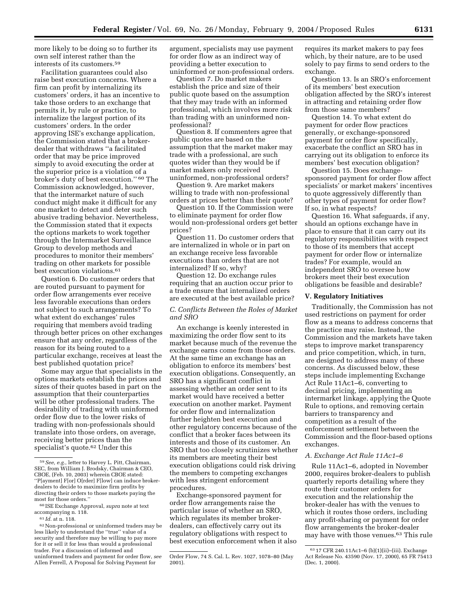more likely to be doing so to further its own self interest rather than the interests of its customers.59

Facilitation guarantees could also raise best execution concerns. Where a firm can profit by internalizing its customers' orders, it has an incentive to take those orders to an exchange that permits it, by rule or practice, to internalize the largest portion of its customers' orders. In the order approving ISE's exchange application, the Commission stated that a brokerdealer that withdraws ''a facilitated order that may be price improved simply to avoid executing the order at the superior price is a violation of a broker's duty of best execution.'' 60 The Commission acknowledged, however, that the intermarket nature of such conduct might make it difficult for any one market to detect and deter such abusive trading behavior. Nevertheless, the Commission stated that it expects the options markets to work together through the Intermarket Surveillance Group to develop methods and procedures to monitor their members' trading on other markets for possible best execution violations.61

Question 6. Do customer orders that are routed pursuant to payment for order flow arrangements ever receive less favorable executions than orders not subject to such arrangements? To what extent do exchanges' rules requiring that members avoid trading through better prices on other exchanges ensure that any order, regardless of the reason for its being routed to a particular exchange, receives at least the best published quotation price?

Some may argue that specialists in the options markets establish the prices and sizes of their quotes based in part on the assumption that their counterparties will be other professional traders. The desirability of trading with uninformed order flow due to the lower risks of trading with non-professionals should translate into those orders, on average, receiving better prices than the specialist's quote.62 Under this

argument, specialists may use payment for order flow as an indirect way of providing a better execution to uninformed or non-professional orders.

Question 7. Do market makers establish the price and size of their public quote based on the assumption that they may trade with an informed professional, which involves more risk than trading with an uninformed nonprofessional?

Question 8. If commenters agree that public quotes are based on the assumption that the market maker may trade with a professional, are such quotes wider than they would be if market makers only received uninformed, non-professional orders?

Question 9. Are market makers willing to trade with non-professional orders at prices better than their quote?

Question 10. If the Commission were to eliminate payment for order flow would non-professional orders get better prices?

Question 11. Do customer orders that are internalized in whole or in part on an exchange receive less favorable executions than orders that are not internalized? If so, why?

Question 12. Do exchange rules requiring that an auction occur prior to a trade ensure that internalized orders are executed at the best available price?

## *C. Conflicts Between the Roles of Market and SRO*

An exchange is keenly interested in maximizing the order flow sent to its market because much of the revenue the exchange earns come from those orders. At the same time an exchange has an obligation to enforce its members' best execution obligations. Consequently, an SRO has a significant conflict in assessing whether an order sent to its market would have received a better execution on another market. Payment for order flow and internalization further heighten best execution and other regulatory concerns because of the conflict that a broker faces between its interests and those of its customer. An SRO that too closely scrutinizes whether its members are meeting their best execution obligations could risk driving the members to competing exchanges with less stringent enforcement procedures.

Exchange-sponsored payment for order flow arrangements raise the particular issue of whether an SRO, which regulates its member brokerdealers, can effectively carry out its regulatory obligations with respect to best execution enforcement when it also requires its market makers to pay fees which, by their nature, are to be used solely to pay firms to send orders to the exchange.

Question 13. Is an SRO's enforcement of its members' best execution obligation affected by the SRO's interest in attracting and retaining order flow from those same members?

Question 14. To what extent do payment for order flow practices generally, or exchange-sponsored payment for order flow specifically, exacerbate the conflict an SRO has in carrying out its obligation to enforce its members' best execution obligation?

Question 15. Does exchangesponsored payment for order flow affect specialists' or market makers' incentives to quote aggressively differently than other types of payment for order flow? If so, in what respects?

Question 16. What safeguards, if any, should an options exchange have in place to ensure that it can carry out its regulatory responsibilities with respect to those of its members that accept payment for order flow or internalize trades? For example, would an independent SRO to oversee how brokers meet their best execution obligations be feasible and desirable?

#### **V. Regulatory Initiatives**

Traditionally, the Commission has not used restrictions on payment for order flow as a means to address concerns that the practice may raise. Instead, the Commission and the markets have taken steps to improve market transparency and price competition, which, in turn, are designed to address many of these concerns. As discussed below, these steps include implementing Exchange Act Rule 11Ac1–6, converting to decimal pricing, implementing an intermarket linkage, applying the Quote Rule to options, and removing certain barriers to transparency and competition as a result of the enforcement settlement between the Commission and the floor-based options exchanges.

## *A. Exchange Act Rule 11Ac1–6*

Rule 11Ac1–6, adopted in November 2000, requires broker-dealers to publish quarterly reports detailing where they route their customer orders for execution and the relationship the broker-dealer has with the venues to which it routes those orders, including any profit-sharing or payment for order flow arrangements the broker-dealer may have with those venues.63 This rule

<sup>59</sup>*See, e.g.*, letter to Harvey L. Pitt, Chairman, SEC, from William J. Brodsky, Chairman & CEO, CBOE, (Feb. 10, 2003) wherein CBOE stated: ''P[ayment] F[or] O[rder] F[low] can induce brokerdealers to decide to maximize firm profits by directing their orders to those markets paying the most for those orders.''

<sup>60</sup> ISE Exchange Approval, *supra* note at text accompanying n. 118.

<sup>61</sup> *Id.* at n. 118.

<sup>62</sup>Non-professional or uninformed traders may be less likely to understand the ''true'' value of a security and therefore may be willing to pay more for it or sell it for less than would a professional trader. For a discussion of informed and uninformed traders and payment for order flow, *see* Allen Ferrell, A Proposal for Solving Payment for

Order Flow, 74 S. Cal. L. Rev. 1027, 1078–80 (May 2001).

<sup>63</sup> 17 CFR 240.11Ac1–6 (b)(1)(ii)–(iii). Exchange Act Release No. 43590 (Nov. 17, 2000), 65 FR 75413 (Dec. 1, 2000).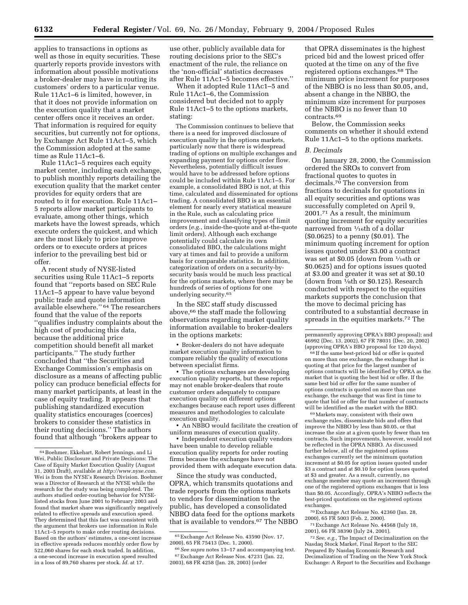applies to transactions in options as well as those in equity securities. These quarterly reports provide investors with information about possible motivations a broker-dealer may have in routing its customers' orders to a particular venue. Rule 11Ac1–6 is limited, however, in that it does not provide information on the execution quality that a market center offers once it receives an order. That information is required for equity securities, but currently not for options, by Exchange Act Rule 11Ac1–5, which the Commission adopted at the same time as Rule 11Ac1–6.

Rule 11Ac1–5 requires each equity market center, including each exchange, to publish monthly reports detailing the execution quality that the market center provides for equity orders that are routed to it for execution. Rule 11Ac1– 5 reports allow market participants to evaluate, among other things, which markets have the lowest spreads, which execute orders the quickest, and which are the most likely to price improve orders or to execute orders at prices inferior to the prevailing best bid or offer.

A recent study of NYSE-listed securities using Rule 11Ac1–5 reports found that ''reports based on SEC Rule 11Ac1–5 appear to have value beyond public trade and quote information available elsewhere.'' 64 The researchers found that the value of the reports ''qualifies industry complaints about the high cost of producing this data, because the additional price competition should benefit all market participants.'' The study further concluded that ''the Securities and Exchange Commission's emphasis on disclosure as a means of affecting public policy can produce beneficial effects for many market participants, at least in the case of equity trading. It appears that publishing standardized execution quality statistics encourages (coerces) brokers to consider these statistics in their routing decisions.'' The authors found that although ''brokers appear to

use other, publicly available data for routing decisions prior to the SEC's enactment of the rule, the reliance on the 'non-official' statistics decreases after Rule 11Ac1–5 becomes effective.''

When it adopted Rule 11Ac1–5 and Rule 11Ac1–6, the Commission considered but decided not to apply Rule 11Ac1–5 to the options markets, stating:

The Commission continues to believe that there is a need for improved disclosure of execution quality in the options markets, particularly now that there is widespread trading of options on multiple exchanges and expanding payment for options order flow. Nevertheless, potentially difficult issues would have to be addressed before options could be included within Rule 11Ac1–5. For example, a consolidated BBO is not, at this time, calculated and disseminated for options trading. A consolidated BBO is an essential element for nearly every statistical measure in the Rule, such as calculating price improvement and classifying types of limit orders (*e.g.*, inside-the-quote and at-the-quote limit orders). Although each exchange potentially could calculate its own consolidated BBO, the calculations might vary at times and fail to provide a uniform basis for comparable statistics. In addition, categorization of orders on a security-bysecurity basis would be much less practical for the options markets, where there may be hundreds of series of options for one underlying security.65

In the SEC staff study discussed above,66 the staff made the following observations regarding market quality information available to broker-dealers in the options markets:

• Broker-dealers do not have adequate market execution quality information to compare reliably the quality of executions between specialist firms.

• The options exchanges are developing execution quality reports, but these reports may not enable broker-dealers that route customer orders adequately to compare execution quality on different options exchanges because each report uses different measures and methodologies to calculate execution quality.

• An NBBO would facilitate the creation of uniform measures of execution quality.

• Independent execution quality vendors have been unable to develop reliable execution quality reports for order routing firms because the exchanges have not provided them with adequate execution data.

Since the study was conducted, OPRA, which transmits quotations and trade reports from the options markets to vendors for dissemination to the public, has developed a consolidated NBBO data feed for the options markets that is available to vendors.67 The NBBO

that OPRA disseminates is the highest priced bid and the lowest priced offer quoted at the time on any of the five registered options exchanges.68 The minimum price increment for purposes of the NBBO is no less than \$0.05, and, absent a change in the NBBO, the minimum size increment for purposes of the NBBO is no fewer than 10 contracts.69

Below, the Commission seeks comments on whether it should extend Rule 11Ac1–5 to the options markets.

## *B. Decimals*

On January 28, 2000, the Commission ordered the SROs to convert from fractional quotes to quotes in decimals.70 The conversion from fractions to decimals for quotations in all equity securities and options was successfully completed on April 9, 2001.71 As a result, the minimum quoting increment for equity securities narrowed from 1⁄16th of a dollar (\$0.0625) to a penny (\$0.01). The minimum quoting increment for option issues quoted under \$3.00 a contract was set at \$0.05 (down from 1⁄16th or \$0.0625) and for options issues quoted at \$3.00 and greater it was set at \$0.10 (down from  $\frac{1}{8}$ th or \$0.125). Research conducted with respect to the equities markets supports the conclusion that the move to decimal pricing has contributed to a substantial decrease in spreads in the equities markets.72 The

68 If the same best-priced bid or offer is quoted on more than one exchange, the exchange that is quoting at that price for the largest number of options contracts will be identified by OPRA as the market that is quoting the best bid or offer. If the same best bid or offer for the same number of options contracts is quoted on more than one exchange, the exchange that was first in time to quote that bid or offer for that number of contracts will be identified as the market with the BBO.

69Markets may, consistent with their own exchange rules, disseminate bids and offers that improve the NBBO by less than \$0.05, or that increase the size at a given quote by fewer than ten contracts. Such improvements, however, would not be reflected in the OPRA NBBO. As discussed further below, all of the registered options exchanges currently set the minimum quotation increment at \$0.05 for option issues quoted under \$3 a contract and at \$0.10 for option issues quoted at \$3 and greater. As a result, currently, no exchange member may quote an increment through one of the registered options exchanges that is less than \$0.05. Accordingly, OPRA's NBBO reflects the best-priced quotations on the registered options exchanges.

70Exchange Act Release No. 42360 (Jan. 28, 2000), 65 FR 5003 (Feb. 2, 2000).

71Exchange Act Release No. 44568 (July 18, 2001), 66 FR 38390 (July 24, 2001).

72*See, e.g.*, The Impact of Decimalization on the Nasdaq Stock Market, Final Report to the SEC Prepared By Nasdaq Economic Research and Decimalization of Trading on the New York Stock Exchange: A Report to the Securities and Exchange

<sup>64</sup>Boehmer, Ekkehart, Robert Jennings, and Li Wei, Public Disclosure and Private Decisions: The Case of Equity Market Execution Quality (August 31, 2003 Draft), available at *http://www.nyse.com.* Wei is from the NYSE's Research Division. Boehmer was a Director of Research at the NYSE while the research for the study was being completed. The authors studied order-routing behavior for NYSElisted stocks from June 2001 to February 2003 and found that market share was significantly negatively related to effective spreads and execution speed. They determined that this fact was consistent with the argument that brokers use information in Rule 11Ac1–5 reports to make order routing decisions. Based on the authors' estimates, a one-cent increase in effective spreads reduces monthly order flow by 522,060 shares for each stock traded. In addition, a one-second increase in execution speed resulted in a loss of 89,760 shares per stock. *Id.* at 17.

<sup>65</sup>Exchange Act Release No. 43590 (Nov. 17, 2000), 65 FR 75413 (Dec. 1, 2000).

<sup>66</sup>*See supra* notes 13–17 and accompanying text. 67Exchange Act Release Nos. 47231 (Jan. 22, 2003), 68 FR 4258 (Jan. 28, 2003) (order

permanently approving OPRA's BBO proposal); and 46992 (Dec. 13, 2002), 67 FR 78031 (Dec. 20, 2002) (approving OPRA's BBO proposal for 120 days).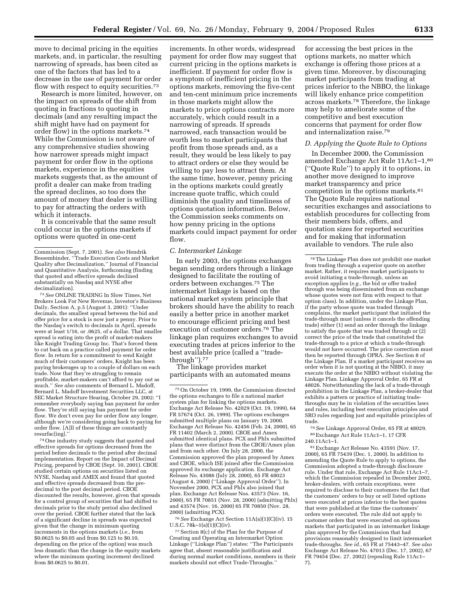move to decimal pricing in the equities markets, and, in particular, the resulting narrowing of spreads, has been cited as one of the factors that has led to a decrease in the use of payment for order flow with respect to equity securities.<sup>73</sup>

Research is more limited, however, on the impact on spreads of the shift from quoting in fractions to quoting in decimals (and any resulting impact the shift might have had on payment for order flow) in the options markets.74 While the Commission is not aware of any comprehensive studies showing how narrower spreads might impact payment for order flow in the options markets, experience in the equities markets suggests that, as the amount of profit a dealer can make from trading the spread declines, so too does the amount of money that dealer is willing to pay for attracting the orders with which it interacts.

It is conceivable that the same result could occur in the options markets if options were quoted in one-cent

73*See* ONLINE TRADING In Slow Times, Net Brokers Look For New Revenue, Investor's Business Daily, Section A, p.5 (August 3, 2001): ''Under decimals, the smallest spread between the bid and offer price for a stock is now just a penny. Prior to the Nasdaq's switch to decimals in April, spreads were at least 1/16, or .0625, of a dollar. That smaller spread is eating into the profit of market-makers like Knight Trading Group Inc. That's forced them to cut back on a practice called payment for order flow. In return for a commitment to send Knight much of their customers' orders, Knight has been paying brokerages up to a couple of dollars on each trade. Now that they're struggling to remain profitable, market-makers can't afford to pay out as much.'' *See also* comments of Bernard L. Madoff, Bernard L. Madoff Investment Securities LLC, at SEC Market Structure Hearing, October 29, 2002: ''I remember everybody saying ban payment for order flow. They're still saying ban payment for order flow. We don't even pay for order flow any longer, although we're considering going back to paying for order flow. [A]ll of these things are constantly resurfac[ing].''

74One industry study suggests that quoted and effective spreads for options decreased from the period before decimals to the period after decimal implementation. Report on the Impact of Decimal Pricing, prepared by CBOE (Sept. 10, 2001). CBOE studied certain options on securities listed on NYSE, Nasdaq and AMEX and found that quoted and effective spreads decreased from the predecimal to the post decimal period. CBOE discounted the results, however, given that spreads for a control group of securities that had shifted to decimals prior to the study period also declined over the period. CBOE further stated that the lack of a significant decline in spreads was expected given that the change in minimum quoting increments in the options markets (*i.e.*, from \$0.0625 to \$0.05 and from \$0.125 to \$0.10, depending on the price of the option) was much less dramatic than the change in the equity markets where the minimum quoting increment declined from \$0.0625 to \$0.01.

increments. In other words, widespread payment for order flow may suggest that current pricing in the options markets is inefficient. If payment for order flow is a symptom of inefficient pricing in the options markets, removing the five-cent and ten-cent minimum price increments in those markets might allow the markets to price options contracts more accurately, which could result in a narrowing of spreads. If spreads narrowed, each transaction would be worth less to market participants that profit from those spreads and, as a result, they would be less likely to pay to attract orders or else they would be willing to pay less to attract them. At the same time, however, penny pricing in the options markets could greatly increase quote traffic, which could diminish the quality and timeliness of options quotation information. Below, the Commission seeks comments on how penny pricing in the options markets could impact payment for order flow.

## *C. Intermarket Linkage*

In early 2003, the options exchanges began sending orders through a linkage designed to facilitate the routing of orders between exchanges.75 The intermarket linkage is based on the national market system principle that brokers should have the ability to reach easily a better price in another market to encourage efficient pricing and best execution of customer orders.76 The linkage plan requires exchanges to avoid executing trades at prices inferior to the best available price (called a ''tradethrough'').77

The linkage provides market participants with an automated means

76*See* Exchange Act Section 11A(a)(1)(C)(iv). 15 U.S.C.  $78k-1(a)(1)(C)(iv)$ .

77Section 8(c) of the Plan for the Purpose of Creating and Operating an Intermarket Option Linkage (''Linkage Plan'') states: ''The Participants agree that, absent reasonable justification and during normal market conditions, members in their markets should not effect Trade-Throughs.''

for accessing the best prices in the options markets, no matter which exchange is offering those prices at a given time. Moreover, by discouraging market participants from trading at prices inferior to the NBBO, the linkage will likely enhance price competition across markets.78 Therefore, the linkage may help to ameliorate some of the competitive and best execution concerns that payment for order flow and internalization raise.79

#### *D. Applying the Quote Rule to Options*

In December 2000, the Commission amended Exchange Act Rule 11Ac1–1,80 (''Quote Rule'') to apply it to options, in another move designed to improve market transparency and price competition in the options markets.81 The Quote Rule requires national securities exchanges and associations to establish procedures for collecting from their members bids, offers, and quotation sizes for reported securities and for making that information available to vendors. The rule also

79*See* Linkage Approval Order, 65 FR at 48029. 80Exchange Act Rule 11Ac1–1, 17 CFR 240.11Ac1–1.

81Exchange Act Release No. 43591 (Nov. 17, 2000), 65 FR 75439 (Dec. 1, 2000). In addition to amending the Quote Rule to apply to options, the Commission adopted a trade-through disclosure rule. Under that rule, Exchange Act Rule 11Ac1–7, which the Commission repealed in December 2002, broker-dealers, with certain exceptions, were required to disclose to their customers the fact that the customers' orders to buy or sell listed options were executed at prices inferior to the best quotes that were published at the time the customers' orders were executed. The rule did not apply to customer orders that were executed on options markets that participated in an intermarket linkage plan approved by the Commission that had provisions reasonably designed to limit intermarket trade-throughs. *See id.,* 65 FR at 75443–47. *See also* Exchange Act Release No. 47013 (Dec. 17, 2002), 67 FR 79454 (Dec. 27, 2002) (repealing Rule 11Ac1– 7).

Commission (Sept. 7, 2001). *See also* Hendrik Bessembinder, ''Trade Execution Costs and Market Quality after Decimalization,'' Journal of Financial and Quantitative Analysis, forthcoming (finding that quoted and effective spreads declined substantially on Nasdaq and NYSE after decimalization).

<sup>75</sup>On October 19, 1999, the Commission directed the options exchanges to file a national market system plan for linking the options markets. Exchange Act Release No. 42029 (Oct. 19, 1999), 64 FR 57674 (Oct. 26, 1999). The options exchanges submitted multiple plans on January 19, 2000. Exchange Act Release No. 42456 (Feb. 24, 2000), 65 FR 11402 (March 2, 2000). CBOE and Amex submitted identical plans. PCX and Phlx submitted plans that were distinct from the CBOE/Amex plan and from each other. On July 28, 2000, the Commission approved the plan proposed by Amex and CBOE, which ISE joined after the Commission approved its exchange application. Exchange Act Release No. 43086 (July 28, 2000), 65 FR 48023 (August 4, 2000) (''Linkage Approval Order''). In November 2000, PCX and Phlx also joined that plan. Exchange Act Release Nos. 43573 (Nov. 16, 2000), 65 FR 70851 (Nov. 28, 2000) (admitting Phlx) and 43574 (Nov. 16, 2000) 65 FR 70850 (Nov. 28, 2000) (admitting PCX).

<sup>78</sup>The Linkage Plan does not prohibit one market from trading through a superior quote on another market. Rather, it requires market participants to avoid initiating a trade-through, unless an exception applies (*e.g.*, the bid or offer traded through was being disseminated from an exchange whose quotes were not firm with respect to that option class). In addition, under the Linkage Plan, if the party whose quote was traded through complains, the market participant that initiated the trade-through must (unless it cancels the offending trade) either (1) send an order through the linkage to satisfy the quote that was traded through or  $(2)$ correct the price of the trade that constituted the trade-through to a price at which a trade-through would not have occurred. The price correction must then be reported through OPRA. *See* Section 8 of the Linkage Plan. If a market participant receives an order when it is not quoting at the NBBO, it may execute the order at the NBBO without violating the Linkage Plan. Linkage Approval Order, 65 FR at 48026. Notwithstanding the lack of a trade-through prohibition in the Linkage Plan, a broker-dealer that exhibits a pattern or practice of initiating tradethroughs may be in violation of the securities laws and rules, including best execution principles and SRO rules regarding just and equitable principles of trade.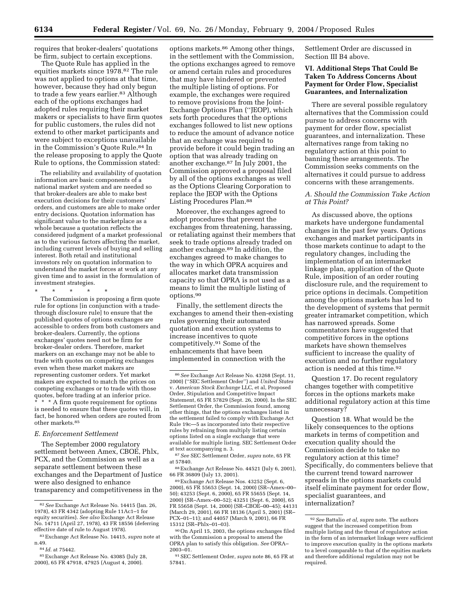requires that broker-dealers' quotations be firm, subject to certain exceptions.

The Quote Rule has applied in the equities markets since 1978.82 The rule was not applied to options at that time, however, because they had only begun to trade a few years earlier.<sup>83</sup> Although each of the options exchanges had adopted rules requiring their market makers or specialists to have firm quotes for public customers, the rules did not extend to other market participants and were subject to exceptions unavailable in the Commission's Quote Rule.84 In the release proposing to apply the Quote Rule to options, the Commission stated:

The reliability and availability of quotation information are basic components of a national market system and are needed so that broker-dealers are able to make best execution decisions for their customers' orders, and customers are able to make order entry decisions. Quotation information has significant value to the marketplace as a whole because a quotation reflects the considered judgment of a market professional as to the various factors affecting the market, including current levels of buying and selling interest. Both retail and institutional investors rely on quotation information to understand the market forces at work at any given time and to assist in the formulation of investment strategies.

\* \* \* \* \*

The Commission is proposing a firm quote rule for options [in conjunction with a tradethrough disclosure rule] to ensure that the published quotes of options exchanges are accessible to orders from both customers and broker-dealers. Currently, the options exchanges' quotes need not be firm for broker-dealer orders. Therefore, market markers on an exchange may not be able to trade with quotes on competing exchanges even when these market makers are representing customer orders. Yet market makers are expected to match the prices on competing exchanges or to trade with those quotes, before trading at an inferior price. \* \* \* A firm quote requirement for options is needed to ensure that these quotes will, in fact, be honored when orders are routed from other markets.85

#### *E. Enforcement Settlement*

The September 2000 regulatory settlement between Amex, CBOE, Phlx, PCX, and the Commission as well as a separate settlement between these exchanges and the Department of Justice were also designed to enhance transparency and competitiveness in the

options markets.86 Among other things, in the settlement with the Commission, the options exchanges agreed to remove or amend certain rules and procedures that may have hindered or prevented the multiple listing of options. For example, the exchanges were required to remove provisions from the Joint-Exchange Options Plan (''JEOP), which sets forth procedures that the options exchanges followed to list new options to reduce the amount of advance notice that an exchange was required to provide before it could begin trading an option that was already trading on another exchange.87 In July 2001, the Commission approved a proposal filed by all of the options exchanges as well as the Options Clearing Corporation to replace the JEOP with the Options Listing Procedures Plan.88

Moreover, the exchanges agreed to adopt procedures that prevent the exchanges from threatening, harassing, or retaliating against their members that seek to trade options already traded on another exchange.89 In addition, the exchanges agreed to make changes to the way in which OPRA acquires and allocates market data transmission capacity so that OPRA is not used as a means to limit the multiple listing of options.90

Finally, the settlement directs the exchanges to amend their then-existing rules governing their automated quotation and execution systems to increase incentives to quote competitively.91 Some of the enhancements that have been implemented in connection with the

89Exchange Act Release Nos. 43252 (Sept. 6, 2000), 65 FR 55653 (Sept. 14, 2000) (SR–Amex–00– 50); 43253 (Sept. 6, 2000), 65 FR 55655 (Sept. 14, 2000) (SR–Amex–00–52); 43251 (Sept. 6, 2000), 65 FR 55658 (Sept. 14, 2000) (SR–CBOE–00–45); 44131 (March 29, 2001), 66 FR 18136 (April 5, 2001) (SR– PCX–01–11); and 44057 (March 9, 2001), 66 FR 15312 (SR–Phlx–01–03).

Settlement Order are discussed in Section III B4 above.

## **VI. Additional Steps That Could Be Taken To Address Concerns About Payment for Order Flow, Specialist Guarantees, and Internalization**

There are several possible regulatory alternatives that the Commission could pursue to address concerns with payment for order flow, specialist guarantees, and internalization. These alternatives range from taking no regulatory action at this point to banning these arrangements. The Commission seeks comments on the alternatives it could pursue to address concerns with these arrangements.

## *A. Should the Commission Take Action at This Point?*

As discussed above, the options markets have undergone fundamental changes in the past few years. Options exchanges and market participants in those markets continue to adapt to the regulatory changes, including the implementation of an intermarket linkage plan, application of the Quote Rule, imposition of an order routing disclosure rule, and the requirement to price options in decimals. Competition among the options markets has led to the development of systems that permit greater intramarket competition, which has narrowed spreads. Some commentators have suggested that competitive forces in the options markets have shown themselves sufficient to increase the quality of execution and no further regulatory action is needed at this time.92

Question 17. Do recent regulatory changes together with competitive forces in the options markets make additional regulatory action at this time unnecessary?

Question 18. What would be the likely consequences to the options markets in terms of competition and execution quality should the Commission decide to take no regulatory action at this time? Specifically, do commenters believe that the current trend toward narrower spreads in the options markets could itself eliminate payment for order flow, specialist guarantees, and internalization?

<sup>82</sup>*See* Exchange Act Release No. 14415 (Jan. 26, 1978), 43 FR 4342 (adopting Rule 11Ac1–1 for equity securities). *See also* Exchange Act Release No. 14711 (April 27, 1978), 43 FR 18556 (deferring effective date of rule to August 1978).

<sup>83</sup>Exchange Act Release No. 14415, *supra* note at n.49.

<sup>84</sup> *Id.* at 75442.

<sup>85</sup>Exchange Act Release No. 43085 (July 28, 2000), 65 FR 47918, 47925 (August 4, 2000).

<sup>86</sup>*See* Exchange Act Release No. 43268 (Sept. 11, 2000) (''SEC Settlement Order'') and *United States* v. *American Stock Exchange* LLC, et al, Proposed Order, Stipulation and Competitive Impact Statement, 65 FR 57829 (Sept. 26, 2000). In the SEC Settlement Order, the Commission found, among other things, that the options exchanges listed in the settlement failed to comply with Exchange Act Rule 19c—5 as incorporated into their respective rules by refraining from multiply listing certain options listed on a single exchange that were available for multiple listing. SEC Settlement Order at text accompanying n. 3.

<sup>87</sup>*See* SEC Settlement Order, *supra* note, 65 FR at 57840.

<sup>88</sup>Exchange Act Release No. 44521 (July 6, 2001), 66 FR 36809 (July 13, 2001).

<sup>90</sup>On April 15, 2003, the options exchanges filed with the Commission a proposal to amend the OPRA plan to satisfy this obligation. *See* OPRA– 2003–01.

<sup>91</sup>SEC Settlement Order, *supra* note 86, 65 FR at 57841.

<sup>92</sup>*See* Battalio *et al, supra* note. The authors suggest that the increased competition from multiple listing and the threat of regulatory action in the form of an intermarket linkage were sufficient to improve execution quality in the options markets to a level comparable to that of the equities markets and therefore additional regulation may not be required.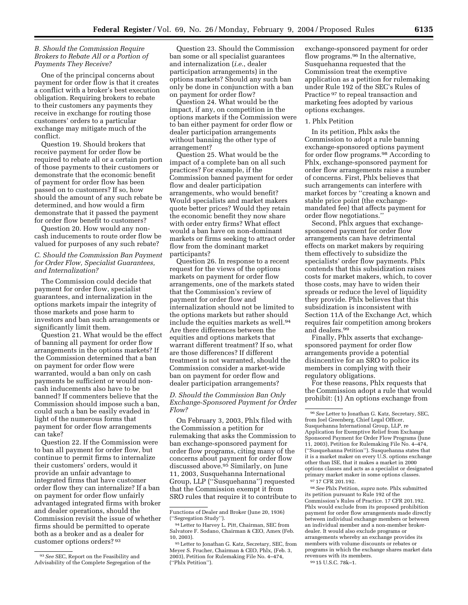## *B. Should the Commission Require Brokers to Rebate All or a Portion of Payments They Receive?*

One of the principal concerns about payment for order flow is that it creates a conflict with a broker's best execution obligation. Requiring brokers to rebate to their customers any payments they receive in exchange for routing those customers' orders to a particular exchange may mitigate much of the conflict.

Question 19. Should brokers that receive payment for order flow be required to rebate all or a certain portion of those payments to their customers or demonstrate that the economic benefit of payment for order flow has been passed on to customers? If so, how should the amount of any such rebate be determined, and how would a firm demonstrate that it passed the payment for order flow benefit to customers?

Question 20. How would any noncash inducements to route order flow be valued for purposes of any such rebate?

*C. Should the Commission Ban Payment for Order Flow, Specialist Guarantees, and Internalization?* 

The Commission could decide that payment for order flow, specialist guarantees, and internalization in the options markets impair the integrity of those markets and pose harm to investors and ban such arrangements or significantly limit them.

Question 21. What would be the effect of banning all payment for order flow arrangements in the options markets? If the Commission determined that a ban on payment for order flow were warranted, would a ban only on cash payments be sufficient or would noncash inducements also have to be banned? If commenters believe that the Commission should impose such a ban, could such a ban be easily evaded in light of the numerous forms that payment for order flow arrangements can take?

Question 22. If the Commission were to ban all payment for order flow, but continue to permit firms to internalize their customers' orders, would it provide an unfair advantage to integrated firms that have customer order flow they can internalize? If a ban on payment for order flow unfairly advantaged integrated firms with broker and dealer operations, should the Commission revisit the issue of whether firms should be permitted to operate both as a broker and as a dealer for customer options orders? 93

Question 23. Should the Commission ban some or all specialist guarantees and internalization (*i.e.*, dealer participation arrangements) in the options markets? Should any such ban only be done in conjunction with a ban on payment for order flow?

Question 24. What would be the impact, if any, on competition in the options markets if the Commission were to ban either payment for order flow or dealer participation arrangements without banning the other type of arrangement?

Question 25. What would be the impact of a complete ban on all such practices? For example, if the Commission banned payment for order flow and dealer participation arrangements, who would benefit? Would specialists and market makers quote better prices? Would they retain the economic benefit they now share with order entry firms? What effect would a ban have on non-dominant markets or firms seeking to attract order flow from the dominant market participants?

Question 26. In response to a recent request for the views of the options markets on payment for order flow arrangements, one of the markets stated that the Commission's review of payment for order flow and internalization should not be limited to the options markets but rather should include the equities markets as well.94 Are there differences between the equities and options markets that warrant different treatment? If so, what are those differences? If different treatment is not warranted, should the Commission consider a market-wide ban on payment for order flow and dealer participation arrangements?

*D. Should the Commission Ban Only Exchange-Sponsored Payment for Order Flow?* 

On February 3, 2003, Phlx filed with the Commission a petition for rulemaking that asks the Commission to ban exchange-sponsored payment for order flow programs, citing many of the concerns about payment for order flow discussed above.95 Similarly, on June 11, 2003, Susquehanna International Group, LLP (''Susquehanna'') requested that the Commission exempt it from SRO rules that require it to contribute to exchange-sponsored payment for order flow programs.<sup>96</sup> In the alternative, Susquehanna requested that the Commission treat the exemptive application as a petition for rulemaking under Rule 192 of the SEC's Rules of Practice 97 to repeal transaction and marketing fees adopted by various options exchanges.

# 1. Phlx Petition

In its petition, Phlx asks the Commission to adopt a rule banning exchange-sponsored options payment for order flow programs.98 According to Phlx, exchange-sponsored payment for order flow arrangements raise a number of concerns. First, Phlx believes that such arrangements can interfere with market forces by ''creating a known and stable price point (the exchangemandated fee) that affects payment for order flow negotiations.''

Second, Phlx argues that exchangesponsored payment for order flow arrangements can have detrimental effects on market makers by requiring them effectively to subsidize the specialists' order flow payments. Phlx contends that this subsidization raises costs for market makers, which, to cover those costs, may have to widen their spreads or reduce the level of liquidity they provide. Phlx believes that this subsidization is inconsistent with Section 11A of the Exchange Act, which requires fair competition among brokers and dealers.99

Finally, Phlx asserts that exchangesponsored payment for order flow arrangements provide a potential disincentive for an SRO to police its members in complying with their regulatory obligations.

For these reasons, Phlx requests that the Commission adopt a rule that would prohibit: (1) An options exchange from

97 17 CFR 201.192.

98*See* Phlx Petition, *supra* note. Phlx submitted its petition pursuant to Rule 192 of the Commission's Rules of Practice. 17 CFR 201.192. Phlx would exclude from its proposed prohibition payment for order flow arrangements made directly between individual exchange members or between an individual member and a non-member brokerdealer. It would also exclude programs or arrangements whereby an exchange provides its members with volume discounts or rebates or programs in which the exchange shares market data revenues with its members. 99 15 U.S.C. 78k–1.

<sup>93</sup>*See* SEC, Report on the Feasibility and Advisability of the Complete Segregation of the

Functions of Dealer and Broker (June 20, 1936) (''Segregation Study'').

<sup>94</sup>Letter to Harvey L. Pitt, Chairman, SEC from Salvatore F. Sodano, Chairman & CEO, Amex (Feb. 10, 2003).

<sup>95</sup>Letter to Jonathan G. Katz, Secretary, SEC, from Meyer S. Frucher, Chairman & CEO, Phlx, (Feb. 3, 2003), Petition for Rulemaking File No. 4–474, (''Phlx Petition'').

<sup>96</sup>*See* Letter to Jonathan G. Katz, Secretary, SEC, from Joel Greenberg, Chief Legal Officer, Susquehanna International Group, LLP, re Application for Exemptive Relief from Exchange Sponsored Payment for Order Flow Programs (June 11, 2003), Petition for Rulemaking File No. 4–474, (''Susquehanna Petition''). Susquehanna states that it is a market maker on every U.S. options exchange other than ISE, that it makes a market in 2000 options classes and acts as a specialist or designated primary market maker in some options classes.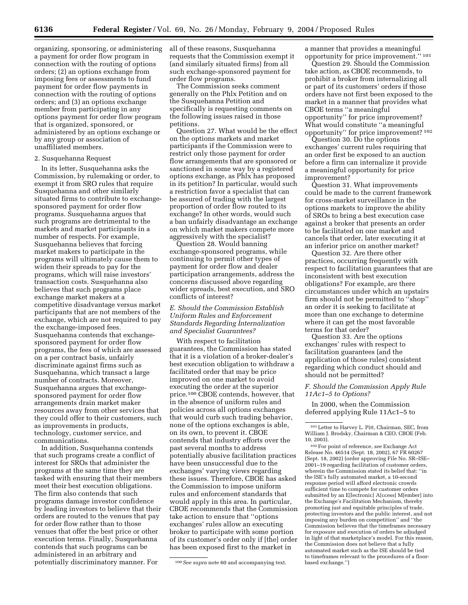organizing, sponsoring, or administering a payment for order flow program in connection with the routing of options orders; (2) an options exchange from imposing fees or assessments to fund payment for order flow payments in connection with the routing of options orders; and (3) an options exchange member from participating in any options payment for order flow program that is organized, sponsored, or administered by an options exchange or by any group or association of unaffiliated members.

## 2. Susquehanna Request

In its letter, Susquehanna asks the Commission, by rulemaking or order, to exempt it from SRO rules that require Susquehanna and other similarly situated firms to contribute to exchangesponsored payment for order flow programs. Susquehanna argues that such programs are detrimental to the markets and market participants in a number of respects. For example, Susquehanna believes that forcing market makers to participate in the programs will ultimately cause them to widen their spreads to pay for the programs, which will raise investors' transaction costs. Susquehanna also believes that such programs place exchange market makers at a competitive disadvantage versus market participants that are not members of the exchange, which are not required to pay the exchange-imposed fees. Susquehanna contends that exchangesponsored payment for order flow programs, the fees of which are assessed on a per contract basis, unfairly discriminate against firms such as Susquehanna, which transact a large number of contracts. Moreover, Susquehanna argues that exchangesponsored payment for order flow arrangements drain market maker resources away from other services that they could offer to their customers, such as improvements in products, technology, customer service, and communications.

In addition, Susquehanna contends that such programs create a conflict of interest for SROs that administer the programs at the same time they are tasked with ensuring that their members meet their best execution obligations. The firm also contends that such programs damage investor confidence by leading investors to believe that their orders are routed to the venues that pay for order flow rather than to those venues that offer the best price or other execution terms. Finally, Susquehanna contends that such programs can be administered in an arbitrary and potentially discriminatory manner. For

all of these reasons, Susquehanna requests that the Commission exempt it (and similarly situated firms) from all such exchange-sponsored payment for order flow programs.

The Commission seeks comment generally on the Phlx Petition and on the Susquehanna Petition and specifically is requesting comments on the following issues raised in those petitions.

Question 27. What would be the effect on the options markets and market participants if the Commission were to restrict only those payment for order flow arrangements that are sponsored or sanctioned in some way by a registered options exchange, as Phlx has proposed in its petition? In particular, would such a restriction favor a specialist that can be assured of trading with the largest proportion of order flow routed to its exchange? In other words, would such a ban unfairly disadvantage an exchange on which market makers compete more aggressively with the specialist?

Question 28. Would banning exchange-sponsored programs, while continuing to permit other types of payment for order flow and dealer participation arrangements, address the concerns discussed above regarding wider spreads, best execution, and SRO conflicts of interest?

# *E. Should the Commission Establish Uniform Rules and Enforcement Standards Regarding Internalization and Specialist Guarantees?*

With respect to facilitation guarantees, the Commission has stated that it is a violation of a broker-dealer's best execution obligation to withdraw a facilitated order that may be price improved on one market to avoid executing the order at the superior price.100 CBOE contends, however, that in the absence of uniform rules and policies across all options exchanges that would curb such trading behavior, none of the options exchanges is able, on its own, to prevent it. CBOE contends that industry efforts over the past several months to address potentially abusive facilitation practices have been unsuccessful due to the exchanges' varying views regarding these issues. Therefore, CBOE has asked the Commission to impose uniform rules and enforcement standards that would apply in this area. In particular, CBOE recommends that the Commission take action to ensure that ''options exchanges' rules allow an executing broker to participate with some portion of its customer's order only if [the] order has been exposed first to the market in

a manner that provides a meaningful opportunity for price improvement.'' 101

Question 29. Should the Commission take action, as CBOE recommends, to prohibit a broker from internalizing all or part of its customers' orders if those orders have not first been exposed to the market in a manner that provides what CBOE terms ''a meaningful opportunity'' for price improvement? What would constitute ''a meaningful opportunity'' for price improvement? 102

Question 30. Do the options exchanges' current rules requiring that an order first be exposed to an auction before a firm can internalize it provide a meaningful opportunity for price improvement?

Question 31. What improvements could be made to the current framework for cross-market surveillance in the options markets to improve the ability of SROs to bring a best execution case against a broker that presents an order to be facilitated on one market and cancels that order, later executing it at an inferior price on another market?

Question 32. Are there other practices, occurring frequently with respect to facilitation guarantees that are inconsistent with best execution obligations? For example, are there circumstances under which an upstairs firm should not be permitted to ''shop'' an order it is seeking to facilitate at more than one exchange to determine where it can get the most favorable terms for that order?

Question 33. Are the options exchanges' rules with respect to facilitation guarantees (and the application of those rules) consistent regarding which conduct should and should not be permitted?

## *F. Should the Commission Apply Rule 11Ac1–5 to Options?*

In 2000, when the Commission deferred applying Rule 11Ac1–5 to

<sup>100</sup>*See supra* note 60 and accompanying text.

<sup>101</sup>Letter to Harvey L. Pitt, Chairman, SEC, from William J. Brodsky, Chairman & CEO, CBOE (Feb. 10, 2003).

<sup>102</sup>For point of reference, *see* Exchange Act Release No. 46514 (Sept. 18, 2002), 67 FR 60267 (Sept. 18, 2002) (order approving File No. SR–ISE– 2001–19 regarding facilitation of customer orders, wherein the Commission stated its belief that: ''in the ISE's fully automated market, a 10-second response period will afford electronic crowds sufficient time to compete for customer orders submitted by an E[lectronic] A[ccess] M[ember] into the Exchange's Facilitation Mechanism, thereby promoting just and equitable principles of trade, protecting investors and the public interest, and not imposing any burden on competition'' and ''the Commission believes that the timeframes necessary for exposure and execution of orders be adjudged in light of that marketplace's model. For this reason, the Commission does not believe that a fully automated market such as the ISE should be tied to timeframes relevant to the procedures of a floorbased exchange.'')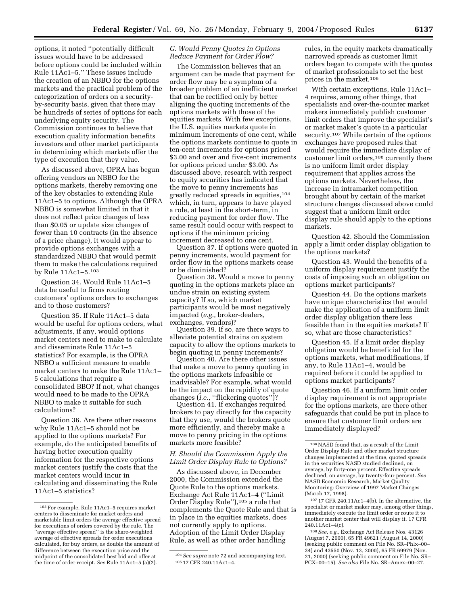options, it noted ''potentially difficult issues would have to be addressed before options could be included within Rule 11Ac1–5.'' These issues include the creation of an NBBO for the options markets and the practical problem of the categorization of orders on a securityby-security basis, given that there may be hundreds of series of options for each underlying equity security. The Commission continues to believe that execution quality information benefits investors and other market participants in determining which markets offer the type of execution that they value.

As discussed above, OPRA has begun offering vendors an NBBO for the options markets, thereby removing one of the key obstacles to extending Rule 11Ac1–5 to options. Although the OPRA NBBO is somewhat limited in that it does not reflect price changes of less than \$0.05 or update size changes of fewer than 10 contracts (in the absence of a price change), it would appear to provide options exchanges with a standardized NBBO that would permit them to make the calculations required by Rule 11Ac1–5.103

Question 34. Would Rule 11Ac1–5 data be useful to firms routing customers' options orders to exchanges and to those customers?

Question 35. If Rule 11Ac1–5 data would be useful for options orders, what adjustments, if any, would options market centers need to make to calculate and disseminate Rule 11Ac1–5 statistics? For example, is the OPRA NBBO a sufficient measure to enable market centers to make the Rule 11Ac1– 5 calculations that require a consolidated BBO? If not, what changes would need to be made to the OPRA NBBO to make it suitable for such calculations?

Question 36. Are there other reasons why Rule 11Ac1–5 should not be applied to the options markets? For example, do the anticipated benefits of having better execution quality information for the respective options market centers justify the costs that the market centers would incur in calculating and disseminating the Rule 11Ac1–5 statistics?

## *G. Would Penny Quotes in Options Reduce Payment for Order Flow?*

The Commission believes that an argument can be made that payment for order flow may be a symptom of a broader problem of an inefficient market that can be rectified only by better aligning the quoting increments of the options markets with those of the equities markets. With few exceptions, the U.S. equities markets quote in minimum increments of one cent, while the options markets continue to quote in ten-cent increments for options priced \$3.00 and over and five-cent increments for options priced under \$3.00. As discussed above, research with respect to equity securities has indicated that the move to penny increments has greatly reduced spreads in equities,104 which, in turn, appears to have played a role, at least in the short-term, in reducing payment for order flow. The same result could occur with respect to options if the minimum pricing increment decreased to one cent.

Question 37. If options were quoted in penny increments, would payment for order flow in the options markets cease or be diminished?

Question 38. Would a move to penny quoting in the options markets place an undue strain on existing system capacity? If so, which market participants would be most negatively impacted (*e.g.*, broker-dealers, exchanges, vendors)?

Question 39. If so, are there ways to alleviate potential strains on system capacity to allow the options markets to begin quoting in penny increments?

Question 40. Are there other issues that make a move to penny quoting in the options markets infeasible or inadvisable? For example, what would be the impact on the rapidity of quote changes (*i.e.*, ''flickering quotes'')?

Question 41. If exchanges required brokers to pay directly for the capacity that they use, would the brokers quote more efficiently, and thereby make a move to penny pricing in the options markets more feasible?

# *H. Should the Commission Apply the Limit Order Display Rule to Options?*

As discussed above, in December 2000, the Commission extended the Quote Rule to the options markets. Exchange Act Rule 11Ac1–4 (''Limit Order Display Rule''),105 a rule that complements the Quote Rule and that is in place in the equities markets, does not currently apply to options. Adoption of the Limit Order Display Rule, as well as other order handling

rules, in the equity markets dramatically narrowed spreads as customer limit orders began to compete with the quotes of market professionals to set the best prices in the market.106

With certain exceptions, Rule 11Ac1– 4 requires, among other things, that specialists and over-the-counter market makers immediately publish customer limit orders that improve the specialist's or market maker's quote in a particular security.107 While certain of the options exchanges have proposed rules that would require the immediate display of customer limit orders,108 currently there is no uniform limit order display requirement that applies across the options markets. Nevertheless, the increase in intramarket competition brought about by certain of the market structure changes discussed above could suggest that a uniform limit order display rule should apply to the options markets.

Question 42. Should the Commission apply a limit order display obligation to the options markets?

Question 43. Would the benefits of a uniform display requirement justify the costs of imposing such an obligation on options market participants?

Question 44. Do the options markets have unique characteristics that would make the application of a uniform limit order display obligation there less feasible than in the equities markets? If so, what are those characteristics?

Question 45. If a limit order display obligation would be beneficial for the options markets, what modifications, if any, to Rule 11Ac1–4, would be required before it could be applied to options market participants?

Question 46. If a uniform limit order display requirement is not appropriate for the options markets, are there other safeguards that could be put in place to ensure that customer limit orders are immediately displayed?

107 17 CFR 240.11Ac1–4(b). In the alternative, the specialist or market maker may, among other things, immediately execute the limit order or route it to another market center that will display it. 17 CFR 240.11Ac1–4(c).

108*See, e.g.*, Exchange Act Release Nos. 43126 (August 7, 2000), 65 FR 49621 (August 14, 2000) (seeking public comment on File No. SR–Phlx–00– 34) and 43550 (Nov. 13, 2000), 65 FR 69979 (Nov. 21, 2000) (seeking public comment on File No. SR– PCX–00–15). *See also* File No. SR–Amex–00–27.

<sup>103</sup>For example, Rule 11Ac1–5 requires market centers to disseminate for market orders and marketable limit orders the average effective spread for executions of orders covered by the rule. The ''average effective spread'' is the share-weighted average of effective spreads for order executions calculated, for buy orders, as double the amount of difference between the execution price and the midpoint of the consolidated best bid and offer at the time of order receipt. *See* Rule 11Ac1–5 (a)(2).

<sup>104</sup>*See supra* note 72 and accompanying text. 105 17 CFR 240.11Ac1–4.

 $^{106}\rm NASD$  found that, as a result of the Limit Order Display Rule and other market structure changes implemented at the time, quoted spreads in the securities NASD studied declined, on average, by forty-one percent. Effective spreads declined, on average, by twenty-four percent. *See* NASD Economic Research, Market Quality Monitoring: Overview of 1997 Market Changes (March 17, 1998).